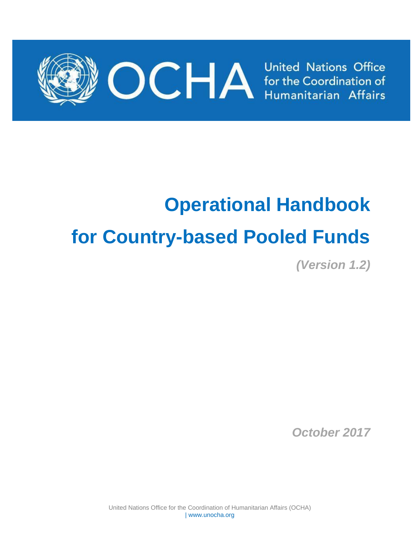

# **Operational Handbook for Country-based Pooled Funds**

*(Version 1.2)*

*October 2017*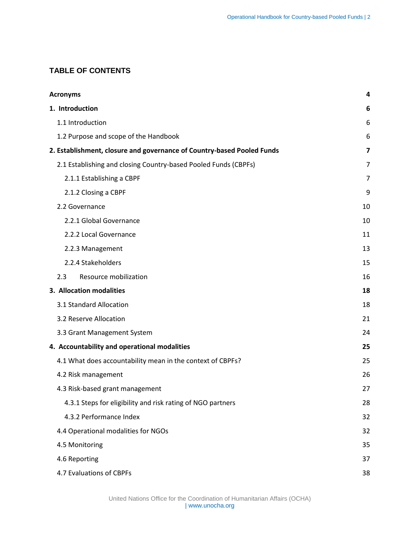# **TABLE OF CONTENTS**

| <b>Acronyms</b>                                                        |    |  |  |  |  |
|------------------------------------------------------------------------|----|--|--|--|--|
| 1. Introduction                                                        | 6  |  |  |  |  |
| 1.1 Introduction                                                       | 6  |  |  |  |  |
| 1.2 Purpose and scope of the Handbook                                  | 6  |  |  |  |  |
| 2. Establishment, closure and governance of Country-based Pooled Funds | 7  |  |  |  |  |
| 2.1 Establishing and closing Country-based Pooled Funds (CBPFs)        | 7  |  |  |  |  |
| 2.1.1 Establishing a CBPF                                              | 7  |  |  |  |  |
| 2.1.2 Closing a CBPF                                                   | 9  |  |  |  |  |
| 2.2 Governance                                                         | 10 |  |  |  |  |
| 2.2.1 Global Governance                                                | 10 |  |  |  |  |
| 2.2.2 Local Governance                                                 | 11 |  |  |  |  |
| 2.2.3 Management                                                       | 13 |  |  |  |  |
| 2.2.4 Stakeholders                                                     | 15 |  |  |  |  |
| 2.3<br>Resource mobilization                                           | 16 |  |  |  |  |
| 3. Allocation modalities                                               | 18 |  |  |  |  |
| 3.1 Standard Allocation                                                | 18 |  |  |  |  |
| 3.2 Reserve Allocation                                                 |    |  |  |  |  |
| 3.3 Grant Management System                                            | 24 |  |  |  |  |
| 4. Accountability and operational modalities                           | 25 |  |  |  |  |
| 4.1 What does accountability mean in the context of CBPFs?             | 25 |  |  |  |  |
| 4.2 Risk management                                                    | 26 |  |  |  |  |
| 4.3 Risk-based grant management                                        | 27 |  |  |  |  |
| 4.3.1 Steps for eligibility and risk rating of NGO partners            | 28 |  |  |  |  |
| 4.3.2 Performance Index                                                | 32 |  |  |  |  |
| 4.4 Operational modalities for NGOs                                    | 32 |  |  |  |  |
| 4.5 Monitoring                                                         | 35 |  |  |  |  |
| 4.6 Reporting                                                          | 37 |  |  |  |  |
| 4.7 Evaluations of CBPFs                                               | 38 |  |  |  |  |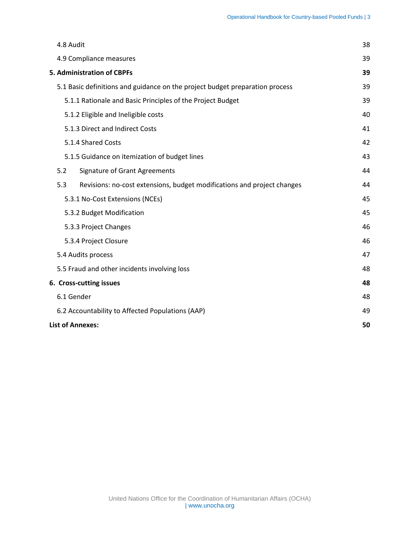| 4.8 Audit                                                                      | 38 |  |  |  |  |  |  |
|--------------------------------------------------------------------------------|----|--|--|--|--|--|--|
| 4.9 Compliance measures                                                        | 39 |  |  |  |  |  |  |
| <b>5. Administration of CBPFs</b>                                              | 39 |  |  |  |  |  |  |
| 5.1 Basic definitions and guidance on the project budget preparation process   |    |  |  |  |  |  |  |
| 5.1.1 Rationale and Basic Principles of the Project Budget                     | 39 |  |  |  |  |  |  |
| 5.1.2 Eligible and Ineligible costs                                            |    |  |  |  |  |  |  |
| 5.1.3 Direct and Indirect Costs                                                |    |  |  |  |  |  |  |
| 5.1.4 Shared Costs                                                             |    |  |  |  |  |  |  |
| 5.1.5 Guidance on itemization of budget lines                                  | 43 |  |  |  |  |  |  |
| <b>Signature of Grant Agreements</b><br>5.2                                    | 44 |  |  |  |  |  |  |
| Revisions: no-cost extensions, budget modifications and project changes<br>5.3 | 44 |  |  |  |  |  |  |
| 5.3.1 No-Cost Extensions (NCEs)                                                | 45 |  |  |  |  |  |  |
| 5.3.2 Budget Modification                                                      | 45 |  |  |  |  |  |  |
| 5.3.3 Project Changes                                                          | 46 |  |  |  |  |  |  |
| 5.3.4 Project Closure                                                          | 46 |  |  |  |  |  |  |
| 5.4 Audits process                                                             | 47 |  |  |  |  |  |  |
| 5.5 Fraud and other incidents involving loss                                   | 48 |  |  |  |  |  |  |
| 6. Cross-cutting issues                                                        | 48 |  |  |  |  |  |  |
| 6.1 Gender                                                                     | 48 |  |  |  |  |  |  |
| 6.2 Accountability to Affected Populations (AAP)                               | 49 |  |  |  |  |  |  |
| <b>List of Annexes:</b>                                                        | 50 |  |  |  |  |  |  |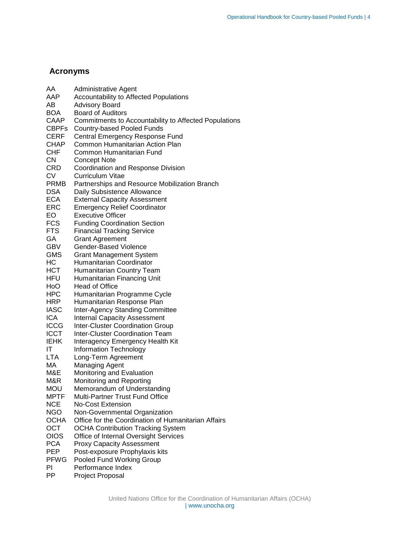# <span id="page-3-0"></span>**Acronyms**

| AA           | <b>Administrative Agent</b>                           |
|--------------|-------------------------------------------------------|
| AAP          | <b>Accountability to Affected Populations</b>         |
| AB           | <b>Advisory Board</b>                                 |
| <b>BOA</b>   | <b>Board of Auditors</b>                              |
| CAAP         | Commitments to Accountability to Affected Populations |
| <b>CBPFs</b> | <b>Country-based Pooled Funds</b>                     |
| CERF         | Central Emergency Response Fund                       |
| CHAP         | Common Humanitarian Action Plan                       |
| CHF          | Common Humanitarian Fund                              |
| <b>CN</b>    | <b>Concept Note</b>                                   |
| CRD          | Coordination and Response Division                    |
| CV           | Curriculum Vitae                                      |
| <b>PRMB</b>  | Partnerships and Resource Mobilization Branch         |
| DSA          | Daily Subsistence Allowance                           |
| <b>ECA</b>   | <b>External Capacity Assessment</b>                   |
| ERC          | <b>Emergency Relief Coordinator</b>                   |
| EO           | <b>Executive Officer</b>                              |
| <b>FCS</b>   | <b>Funding Coordination Section</b>                   |
| <b>FTS</b>   | <b>Financial Tracking Service</b>                     |
| GA           | <b>Grant Agreement</b>                                |
| GBV          | Gender-Based Violence                                 |
| GMS          | <b>Grant Management System</b>                        |
| HС           | Humanitarian Coordinator                              |
| <b>HCT</b>   | Humanitarian Country Team                             |
| HFU          | Humanitarian Financing Unit                           |
| HoO          | <b>Head of Office</b>                                 |
| <b>HPC</b>   | Humanitarian Programme Cycle                          |
| <b>HRP</b>   | Humanitarian Response Plan                            |
| <b>IASC</b>  | <b>Inter-Agency Standing Committee</b>                |
| <b>ICA</b>   | <b>Internal Capacity Assessment</b>                   |
| <b>ICCG</b>  | <b>Inter-Cluster Coordination Group</b>               |
| <b>ICCT</b>  | <b>Inter-Cluster Coordination Team</b>                |
| <b>IEHK</b>  | Interagency Emergency Health Kit                      |
| ΙT           | Information Technology                                |
| <b>LTA</b>   | Long-Term Agreement                                   |
| МA           | <b>Managing Agent</b>                                 |
| M&E          | Monitoring and Evaluation                             |
| M&R          | Monitoring and Reporting                              |
| MOU          | Memorandum of Understanding                           |
| MPTF         | Multi-Partner Trust Fund Office                       |
| <b>NCE</b>   | <b>No-Cost Extension</b>                              |
| <b>NGO</b>   | Non-Governmental Organization                         |
| <b>OCHA</b>  | Office for the Coordination of Humanitarian Affairs   |
| <b>OCT</b>   | <b>OCHA Contribution Tracking System</b>              |
| <b>OIOS</b>  | Office of Internal Oversight Services                 |
| <b>PCA</b>   | <b>Proxy Capacity Assessment</b>                      |
| <b>PEP</b>   | Post-exposure Prophylaxis kits                        |
| <b>PFWG</b>  | Pooled Fund Working Group                             |
| PI           | Performance Index                                     |
| PP           | Project Proposal                                      |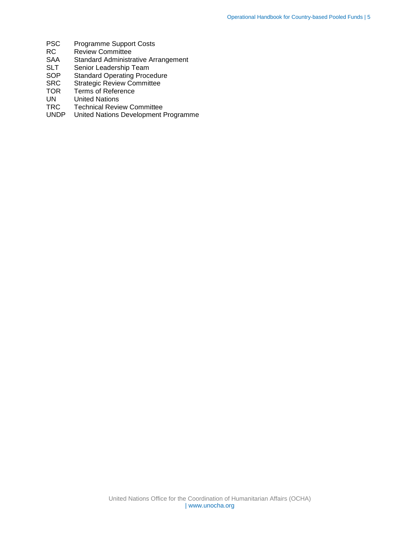- PSC Programme Support Costs<br>RC Review Committee
- Review Committee
- SAA Standard Administrative Arrangement<br>SLT Senior Leadership Team
- SLT Senior Leadership Team<br>SOP Standard Operating Proce
- Standard Operating Procedure
- SRC Strategic Review Committee<br>TOR Terms of Reference
- TOR Terms of Reference<br>UN United Nations
- **United Nations**
- TRC Technical Review Committee<br>UNDP United Nations Development I
- United Nations Development Programme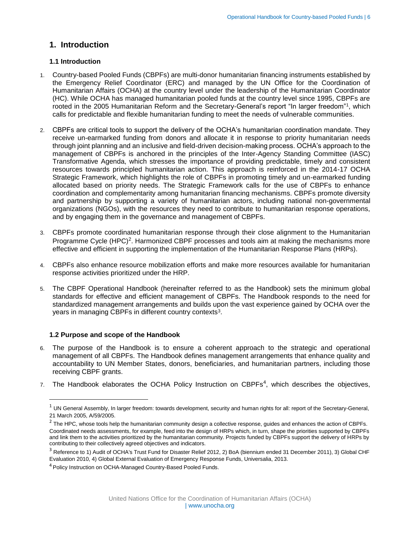# <span id="page-5-0"></span>**1. Introduction**

# <span id="page-5-1"></span>**1.1 Introduction**

- 1. Country-based Pooled Funds (CBPFs) are multi-donor humanitarian financing instruments established by the Emergency Relief Coordinator (ERC) and managed by the UN Office for the Coordination of Humanitarian Affairs (OCHA) at the country level under the leadership of the Humanitarian Coordinator (HC). While OCHA has managed humanitarian pooled funds at the country level since 1995, CBPFs are rooted in the 2005 Humanitarian Reform and the Secretary-General's report "In larger freedom"<sup>1</sup>, which calls for predictable and flexible humanitarian funding to meet the needs of vulnerable communities.
- 2. CBPFs are critical tools to support the delivery of the OCHA's humanitarian coordination mandate. They receive un-earmarked funding from donors and allocate it in response to priority humanitarian needs through joint planning and an inclusive and field-driven decision-making process. OCHA's approach to the management of CBPFs is anchored in the principles of the Inter-Agency Standing Committee (IASC) Transformative Agenda, which stresses the importance of providing predictable, timely and consistent resources towards principled humanitarian action. This approach is reinforced in the 2014-17 OCHA Strategic Framework, which highlights the role of CBPFs in promoting timely and un-earmarked funding allocated based on priority needs. The Strategic Framework calls for the use of CBPFs to enhance coordination and complementarity among humanitarian financing mechanisms. CBPFs promote diversity and partnership by supporting a variety of humanitarian actors, including national non-governmental organizations (NGOs), with the resources they need to contribute to humanitarian response operations, and by engaging them in the governance and management of CBPFs.
- 3. CBPFs promote coordinated humanitarian response through their close alignment to the Humanitarian Programme Cycle  $(HPC)^2$ . Harmonized CBPF processes and tools aim at making the mechanisms more effective and efficient in supporting the implementation of the Humanitarian Response Plans (HRPs).
- 4. CBPFs also enhance resource mobilization efforts and make more resources available for humanitarian response activities prioritized under the HRP.
- 5. The CBPF Operational Handbook (hereinafter referred to as the Handbook) sets the minimum global standards for effective and efficient management of CBPFs. The Handbook responds to the need for standardized management arrangements and builds upon the vast experience gained by OCHA over the years in managing CBPFs in different country contexts<sup>3</sup>.

#### <span id="page-5-2"></span>**1.2 Purpose and scope of the Handbook**

 $\overline{a}$ 

- 6. The purpose of the Handbook is to ensure a coherent approach to the strategic and operational management of all CBPFs. The Handbook defines management arrangements that enhance quality and accountability to UN Member States, donors, beneficiaries, and humanitarian partners, including those receiving CBPF grants.
- 7. The Handbook elaborates the OCHA Policy Instruction on CBPFs<sup>4</sup>, which describes the objectives,

 $1$  UN General Assembly, In larger freedom: towards development, security and human rights for all: report of the Secretary-General, 21 March 2005, A/59/2005.

 $^2$  The HPC, whose tools help the humanitarian community design a collective response, guides and enhances the action of CBPFs. Coordinated needs assessments, for example, feed into the design of HRPs which, in turn, shape the priorities supported by CBPFs and link them to the activities prioritized by the humanitarian community. Projects funded by CBPFs support the delivery of HRPs by contributing to their collectively agreed objectives and indicators.

<sup>&</sup>lt;sup>3</sup> Reference to 1) Audit of OCHA's Trust Fund for Disaster Relief 2012, 2) BoA (biennium ended 31 December 2011), 3) Global CHF Evaluation 2010, 4) Global External Evaluation of Emergency Response Funds, Universalia, 2013.

<sup>4</sup> Policy Instruction on OCHA-Managed Country-Based Pooled Funds.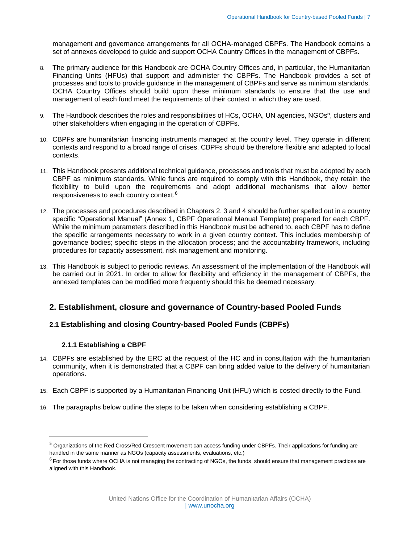management and governance arrangements for all OCHA-managed CBPFs. The Handbook contains a set of annexes developed to guide and support OCHA Country Offices in the management of CBPFs.

- 8. The primary audience for this Handbook are OCHA Country Offices and, in particular, the Humanitarian Financing Units (HFUs) that support and administer the CBPFs. The Handbook provides a set of processes and tools to provide guidance in the management of CBPFs and serve as minimum standards. OCHA Country Offices should build upon these minimum standards to ensure that the use and management of each fund meet the requirements of their context in which they are used.
- 9. The Handbook describes the roles and responsibilities of HCs, OCHA, UN agencies, NGOs<sup>5</sup>, clusters and other stakeholders when engaging in the operation of CBPFs.
- 10. CBPFs are humanitarian financing instruments managed at the country level. They operate in different contexts and respond to a broad range of crises. CBPFs should be therefore flexible and adapted to local contexts.
- 11. This Handbook presents additional technical guidance, processes and tools that must be adopted by each CBPF as minimum standards. While funds are required to comply with this Handbook, they retain the flexibility to build upon the requirements and adopt additional mechanisms that allow better responsiveness to each country context.<sup>6</sup>
- 12. The processes and procedures described in Chapters 2, 3 and 4 should be further spelled out in a country specific "Operational Manual" (Annex 1, CBPF Operational Manual Template) prepared for each CBPF. While the minimum parameters described in this Handbook must be adhered to, each CBPF has to define the specific arrangements necessary to work in a given country context. This includes membership of governance bodies; specific steps in the allocation process; and the accountability framework, including procedures for capacity assessment, risk management and monitoring.
- 13. This Handbook is subject to periodic reviews. An assessment of the implementation of the Handbook will be carried out in 2021. In order to allow for flexibility and efficiency in the management of CBPFs, the annexed templates can be modified more frequently should this be deemed necessary.

# <span id="page-6-0"></span>**2. Establishment, closure and governance of Country-based Pooled Funds**

# <span id="page-6-2"></span><span id="page-6-1"></span>**2.1 Establishing and closing Country-based Pooled Funds (CBPFs)**

#### **2.1.1 Establishing a CBPF**

 $\overline{\phantom{a}}$ 

- 14. CBPFs are established by the ERC at the request of the HC and in consultation with the humanitarian community, when it is demonstrated that a CBPF can bring added value to the delivery of humanitarian operations.
- 15. Each CBPF is supported by a Humanitarian Financing Unit (HFU) which is costed directly to the Fund.
- 16. The paragraphs below outline the steps to be taken when considering establishing a CBPF.

<sup>&</sup>lt;sup>5</sup> Organizations of the Red Cross/Red Crescent movement can access funding under CBPFs. Their applications for funding are handled in the same manner as NGOs (capacity assessments, evaluations, etc.)

<sup>&</sup>lt;sup>6</sup> For those funds where OCHA is not managing the contracting of NGOs, the funds should ensure that management practices are aligned with this Handbook.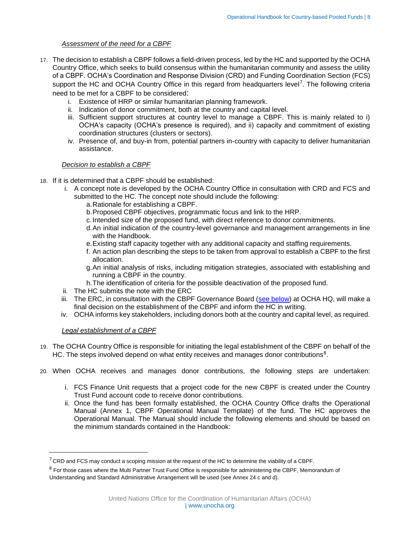#### *Assessment of the need for a CBPF*

- 17. The decision to establish a CBPF follows a field-driven process, led by the HC and supported by the OCHA Country Office, which seeks to build consensus within the humanitarian community and assess the utility of a CBPF. OCHA's Coordination and Response Division (CRD) and Funding Coordination Section (FCS) support the HC and OCHA Country Office in this regard from headquarters level<sup>7</sup>. The following criteria need to be met for a CBPF to be considered:
	- i. Existence of HRP or similar humanitarian planning framework.
	- ii. Indication of donor commitment, both at the country and capital level.
	- iii. Sufficient support structures at country level to manage a CBPF. This is mainly related to i) OCHA's capacity (OCHA's presence is required), and ii) capacity and commitment of existing coordination structures (clusters or sectors).
	- iv. Presence of, and buy-in from, potential partners in-country with capacity to deliver humanitarian assistance.

#### *Decision to establish a CBPF*

- 18. If it is determined that a CBPF should be established:
	- i. A concept note is developed by the OCHA Country Office in consultation with CRD and FCS and submitted to the HC. The concept note should include the following:
		- a.Rationale for establishing a CBPF.
		- b.Proposed CBPF objectives, programmatic focus and link to the HRP.
		- c.Intended size of the proposed fund, with direct reference to donor commitments.
		- d.An initial indication of the country-level governance and management arrangements in line with the Handbook.
		- e.Existing staff capacity together with any additional capacity and staffing requirements.
		- f. An action plan describing the steps to be taken from approval to establish a CBPF to the first allocation.
		- g.An initial analysis of risks, including mitigation strategies, associated with establishing and running a CBPF in the country.
		- h.The identification of criteria for the possible deactivation of the proposed fund.
	- ii. The HC submits the note with the ERC
	- iii. The ERC, in consultation with the CBPF Governance Board (se[e below\)](#page-9-2) at OCHA HQ, will make a final decision on the establishment of the CBPF and inform the HC in writing.
	- iv. OCHA informs key stakeholders, including donors both at the country and capital level, as required.

#### *Legal establishment of a CBPF*

 $\overline{a}$ 

- 19. The OCHA Country Office is responsible for initiating the legal establishment of the CBPF on behalf of the HC. The steps involved depend on what entity receives and manages donor contributions<sup>8</sup>.
- 20. When OCHA receives and manages donor contributions, the following steps are undertaken:
	- i. FCS Finance Unit requests that a project code for the new CBPF is created under the Country Trust Fund account code to receive donor contributions.
	- ii. Once the fund has been formally established, the OCHA Country Office drafts the Operational Manual (Annex 1, CBPF Operational Manual Template) of the fund. The HC approves the Operational Manual. The Manual should include the following elements and should be based on the minimum standards contained in the Handbook:

 $7$  CRD and FCS may conduct a scoping mission at the request of the HC to determine the viability of a CBPF.

<sup>&</sup>lt;sup>8</sup> For those cases where the Multi Partner Trust Fund Office is responsible for administering the CBPF, Memorandum of Understanding and Standard Administrative Arrangement will be used (see Annex 24 c and d).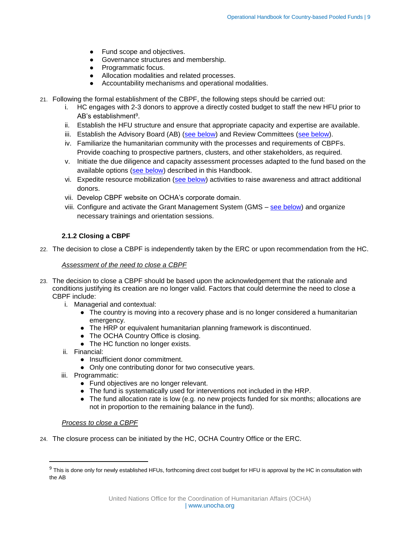- Fund scope and objectives.
- Governance structures and membership.
- Programmatic focus.
- Allocation modalities and related processes.
- <span id="page-8-1"></span>● Accountability mechanisms and operational modalities.
- 21. Following the formal establishment of the CBPF, the following steps should be carried out:
	- i. HC engages with 2-3 donors to approve a directly costed budget to staff the new HFU prior to AB's establishment<sup>9</sup>.
	- ii. Establish the HFU structure and ensure that appropriate capacity and expertise are available.
	- iii. Establish the Advisory Board (AB) [\(see below\)](#page-10-0) and Review Committees [\(see below\)](#page-11-0).
	- iv. Familiarize the humanitarian community with the processes and requirements of CBPFs. Provide coaching to prospective partners, clusters, and other stakeholders, as required.
	- v. Initiate the due diligence and capacity assessment processes adapted to the fund based on the available options [\(see below\)](#page-27-1) described in this Handbook.
	- vi. Expedite resource mobilization [\(see below\)](#page-15-0) activities to raise awareness and attract additional donors.
	- vii. Develop CBPF website on OCHA's corporate domain.
	- viii. Configure and activate the Grant Management System (GMS [see below\)](#page-23-0) and organize necessary trainings and orientation sessions.

# <span id="page-8-0"></span>**2.1.2 Closing a CBPF**

22. The decision to close a CBPF is independently taken by the ERC or upon recommendation from the HC.

#### *Assessment of the need to close a CBPF*

- 23. The decision to close a CBPF should be based upon the acknowledgement that the rationale and conditions justifying its creation are no longer valid. Factors that could determine the need to close a CBPF include:
	- i. Managerial and contextual:
		- The country is moving into a recovery phase and is no longer considered a humanitarian emergency.
		- The HRP or equivalent humanitarian planning framework is discontinued.
		- The OCHA Country Office is closing.
		- The HC function no longer exists.
	- ii. Financial:

 $\overline{\phantom{a}}$ 

- Insufficient donor commitment.
- Only one contributing donor for two consecutive years.
- iii. Programmatic:
	- Fund objectives are no longer relevant.
	- The fund is systematically used for interventions not included in the HRP.
	- The fund allocation rate is low (e.g. no new projects funded for six months; allocations are not in proportion to the remaining balance in the fund).

#### *Process to close a CBPF*

24. The closure process can be initiated by the HC, OCHA Country Office or the ERC.

<sup>&</sup>lt;sup>9</sup> This is done only for newly established HFUs, forthcoming direct cost budget for HFU is approval by the HC in consultation with the AB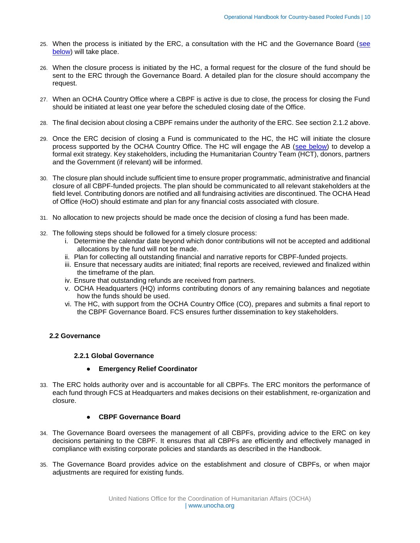- 25. When the process is initiated by the ERC, a consultation with the HC and the Governance Board [\(see](#page-9-1)  [below\)](#page-9-1) will take place.
- 26. When the closure process is initiated by the HC, a formal request for the closure of the fund should be sent to the ERC through the Governance Board. A detailed plan for the closure should accompany the request.
- 27. When an OCHA Country Office where a CBPF is active is due to close, the process for closing the Fund should be initiated at least one year before the scheduled closing date of the Office.
- 28. The final decision about closing a CBPF remains under the authority of the ERC. See section 2.1.2 above.
- 29. Once the ERC decision of closing a Fund is communicated to the HC, the HC will initiate the closure process supported by the OCHA Country Office. The HC will engage the AB [\(see below\)](#page-8-1) to develop a formal exit strategy. Key stakeholders, including the Humanitarian Country Team (HCT), donors, partners and the Government (if relevant) will be informed.
- 30. The closure plan should include sufficient time to ensure proper programmatic, administrative and financial closure of all CBPF-funded projects. The plan should be communicated to all relevant stakeholders at the field level. Contributing donors are notified and all fundraising activities are discontinued. The OCHA Head of Office (HoO) should estimate and plan for any financial costs associated with closure.
- 31. No allocation to new projects should be made once the decision of closing a fund has been made.
- 32. The following steps should be followed for a timely closure process:
	- i. Determine the calendar date beyond which donor contributions will not be accepted and additional allocations by the fund will not be made.
	- ii. Plan for collecting all outstanding financial and narrative reports for CBPF-funded projects.
	- iii. Ensure that necessary audits are initiated; final reports are received, reviewed and finalized within the timeframe of the plan.
	- iv. Ensure that outstanding refunds are received from partners.
	- v. OCHA Headquarters (HQ) informs contributing donors of any remaining balances and negotiate how the funds should be used.
	- vi. The HC, with support from the OCHA Country Office (CO), prepares and submits a final report to the CBPF Governance Board. FCS ensures further dissemination to key stakeholders.

#### <span id="page-9-1"></span><span id="page-9-0"></span>**2.2 Governance**

#### <span id="page-9-2"></span>**2.2.1 Global Governance**

- **Emergency Relief Coordinator**
- 33. The ERC holds authority over and is accountable for all CBPFs. The ERC monitors the performance of each fund through FCS at Headquarters and makes decisions on their establishment, re-organization and closure.

#### ● **CBPF Governance Board**

- 34. The Governance Board oversees the management of all CBPFs, providing advice to the ERC on key decisions pertaining to the CBPF. It ensures that all CBPFs are efficiently and effectively managed in compliance with existing corporate policies and standards as described in the Handbook.
- 35. The Governance Board provides advice on the establishment and closure of CBPFs, or when major adjustments are required for existing funds.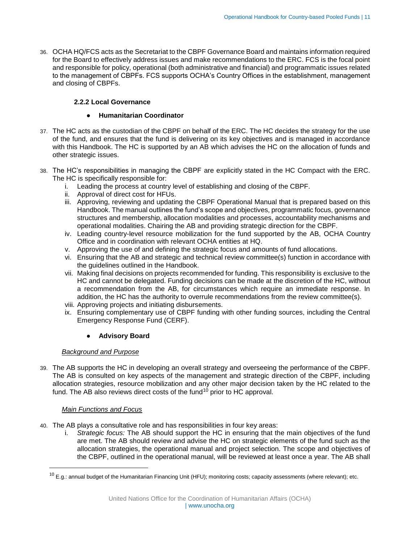36. OCHA HQ/FCS acts as the Secretariat to the CBPF Governance Board and maintains information required for the Board to effectively address issues and make recommendations to the ERC. FCS is the focal point and responsible for policy, operational (both administrative and financial) and programmatic issues related to the management of CBPFs. FCS supports OCHA's Country Offices in the establishment, management and closing of CBPFs.

# <span id="page-10-0"></span>**2.2.2 Local Governance**

# ● **Humanitarian Coordinator**

- 37. The HC acts as the custodian of the CBPF on behalf of the ERC. The HC decides the strategy for the use of the fund, and ensures that the fund is delivering on its key objectives and is managed in accordance with this Handbook. The HC is supported by an AB which advises the HC on the allocation of funds and other strategic issues.
- 38. The HC's responsibilities in managing the CBPF are explicitly stated in the HC Compact with the ERC. The HC is specifically responsible for:
	- i. Leading the process at country level of establishing and closing of the CBPF.
	- ii. Approval of direct cost for HFUs.
	- iii. Approving, reviewing and updating the CBPF Operational Manual that is prepared based on this Handbook. The manual outlines the fund's scope and objectives, programmatic focus, governance structures and membership, allocation modalities and processes, accountability mechanisms and operational modalities. Chairing the AB and providing strategic direction for the CBPF.
	- iv. Leading country-level resource mobilization for the fund supported by the AB, OCHA Country Office and in coordination with relevant OCHA entities at HQ.
	- v. Approving the use of and defining the strategic focus and amounts of fund allocations.
	- vi. Ensuring that the AB and strategic and technical review committee(s) function in accordance with the guidelines outlined in the Handbook.
	- vii. Making final decisions on projects recommended for funding. This responsibility is exclusive to the HC and cannot be delegated. Funding decisions can be made at the discretion of the HC, without a recommendation from the AB, for circumstances which require an immediate response. In addition, the HC has the authority to overrule recommendations from the review committee(s).
	- viii. Approving projects and initiating disbursements.
	- ix. Ensuring complementary use of CBPF funding with other funding sources, including the Central Emergency Response Fund (CERF).

# **Advisory Board**

# <span id="page-10-1"></span>*Background and Purpose*

39. The AB supports the HC in developing an overall strategy and overseeing the performance of the CBPF. The AB is consulted on key aspects of the management and strategic direction of the CBPF, including allocation strategies, resource mobilization and any other major decision taken by the HC related to the fund. The AB also reviews direct costs of the fund<sup>10</sup> prior to HC approval.

# *Main Functions and Focus*

 $\overline{a}$ 

- 40. The AB plays a consultative role and has responsibilities in four key areas:
	- i. *Strategic focus:* The AB should support the HC in ensuring that the main objectives of the fund are met. The AB should review and advise the HC on strategic elements of the fund such as the allocation strategies, the operational manual and project selection. The scope and objectives of the CBPF, outlined in the operational manual, will be reviewed at least once a year. The AB shall

 $10$  E.g.: annual budget of the Humanitarian Financing Unit (HFU); monitoring costs; capacity assessments (where relevant); etc.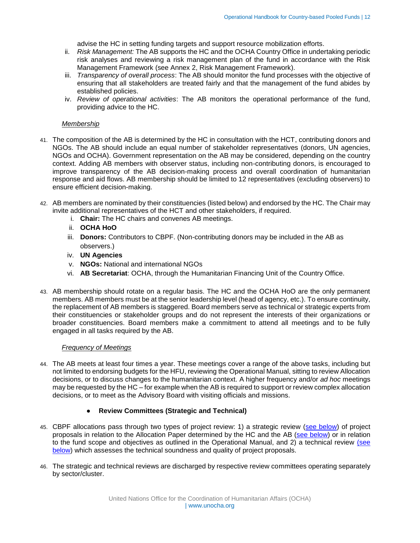advise the HC in setting funding targets and support resource mobilization efforts.

- ii. *Risk Management:* The AB supports the HC and the OCHA Country Office in undertaking periodic risk analyses and reviewing a risk management plan of the fund in accordance with the Risk Management Framework (see Annex 2, Risk Management Framework).
- iii. *Transparency of overall process*: The AB should monitor the fund processes with the objective of ensuring that all stakeholders are treated fairly and that the management of the fund abides by established policies.
- iv. *Review of operational activities*: The AB monitors the operational performance of the fund, providing advice to the HC.

#### *Membership*

- 41. The composition of the AB is determined by the HC in consultation with the HCT, contributing donors and NGOs. The AB should include an equal number of stakeholder representatives (donors, UN agencies, NGOs and OCHA). Government representation on the AB may be considered, depending on the country context. Adding AB members with observer status, including non-contributing donors, is encouraged to improve transparency of the AB decision-making process and overall coordination of humanitarian response and aid flows. AB membership should be limited to 12 representatives (excluding observers) to ensure efficient decision-making.
- 42. AB members are nominated by their constituencies (listed below) and endorsed by the HC. The Chair may invite additional representatives of the HCT and other stakeholders, if required.
	- i. **Chair:** The HC chairs and convenes AB meetings.
	- ii. **OCHA HoO**
	- iii. **Donors:** Contributors to CBPF. (Non-contributing donors may be included in the AB as observers.)
	- iv. **UN Agencies**
	- v. **NGOs:** National and international NGOs
	- vi. **AB Secretariat**: OCHA, through the Humanitarian Financing Unit of the Country Office.
- 43. AB membership should rotate on a regular basis. The HC and the OCHA HoO are the only permanent members. AB members must be at the senior leadership level (head of agency, etc.). To ensure continuity, the replacement of AB members is staggered. Board members serve as technical or strategic experts from their constituencies or stakeholder groups and do not represent the interests of their organizations or broader constituencies. Board members make a commitment to attend all meetings and to be fully engaged in all tasks required by the AB.

#### *Frequency of Meetings*

44. The AB meets at least four times a year. These meetings cover a range of the above tasks, including but not limited to endorsing budgets for the HFU, reviewing the Operational Manual, sitting to review Allocation decisions, or to discuss changes to the humanitarian context. A higher frequency and/or *ad hoc* meetings may be requested by the HC – for example when the AB is required to support or review complex allocation decisions, or to meet as the Advisory Board with visiting officials and missions.

#### ● **Review Committees (Strategic and Technical)**

- <span id="page-11-0"></span>45. CBPF allocations pass through two types of project review: 1) a strategic review [\(see below\)](#page-18-0) of project proposals in relation to the Allocation Paper determined by the HC and the AB [\(see below\)](#page-10-1) or in relation to the fund scope and objectives as outlined in the Operational Manual, and 2) a technical review [\(see](#page-19-0)  [below\)](#page-19-0) which assesses the technical soundness and quality of project proposals.
- 46. The strategic and technical reviews are discharged by respective review committees operating separately by sector/cluster.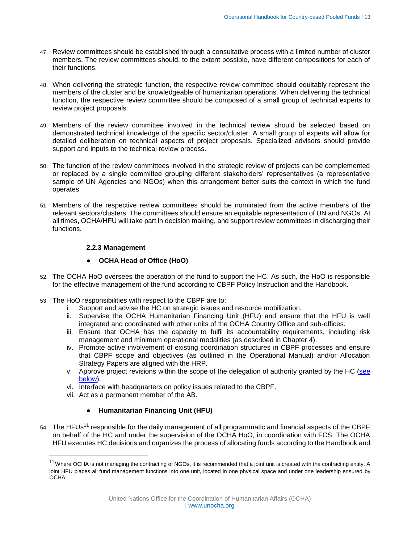- 47. Review committees should be established through a consultative process with a limited number of cluster members. The review committees should, to the extent possible, have different compositions for each of their functions.
- 48. When delivering the strategic function, the respective review committee should equitably represent the members of the cluster and be knowledgeable of humanitarian operations. When delivering the technical function, the respective review committee should be composed of a small group of technical experts to review project proposals.
- 49. Members of the review committee involved in the technical review should be selected based on demonstrated technical knowledge of the specific sector/cluster. A small group of experts will allow for detailed deliberation on technical aspects of project proposals. Specialized advisors should provide support and inputs to the technical review process.
- 50. The function of the review committees involved in the strategic review of projects can be complemented or replaced by a single committee grouping different stakeholders' representatives (a representative sample of UN Agencies and NGOs) when this arrangement better suits the context in which the fund operates.
- <span id="page-12-0"></span>51. Members of the respective review committees should be nominated from the active members of the relevant sectors/clusters. The committees should ensure an equitable representation of UN and NGOs. At all times, OCHA/HFU will take part in decision making, and support review committees in discharging their functions.

# **2.2.3 Management**

# ● **OCHA Head of Office (HoO)**

- 52. The OCHA HoO oversees the operation of the fund to support the HC. As such, the HoO is responsible for the effective management of the fund according to CBPF Policy Instruction and the Handbook.
- 53. The HoO responsibilities with respect to the CBPF are to:
	- i. Support and advise the HC on strategic issues and resource mobilization.
	- ii. Supervise the OCHA Humanitarian Financing Unit (HFU) and ensure that the HFU is well integrated and coordinated with other units of the OCHA Country Office and sub-offices.
	- iii. Ensure that OCHA has the capacity to fulfil its accountability requirements, including risk management and minimum operational modalities (as described in Chapter 4).
	- iv. Promote active involvement of existing coordination structures in CBPF processes and ensure that CBPF scope and objectives (as outlined in the Operational Manual) and/or Allocation Strategy Papers are aligned with the HRP.
	- v. Approve project revisions within the scope of the delegation of authority granted by the HC [\(see](#page-44-2)  [below\)](#page-44-2).
	- vi. Interface with headquarters on policy issues related to the CBPF.
	- vii. Act as a permanent member of the AB.

l

# ● **Humanitarian Financing Unit (HFU)**

54. The HFUs<sup>11</sup> responsible for the daily management of all programmatic and financial aspects of the CBPF on behalf of the HC and under the supervision of the OCHA HoO, in coordination with FCS. The OCHA HFU executes HC decisions and organizes the process of allocating funds according to the Handbook and

 $11$  Where OCHA is not managing the contracting of NGOs, it is recommended that a joint unit is created with the contracting entity. A joint HFU places all fund management functions into one unit, located in one physical space and under one leadership ensured by OCHA.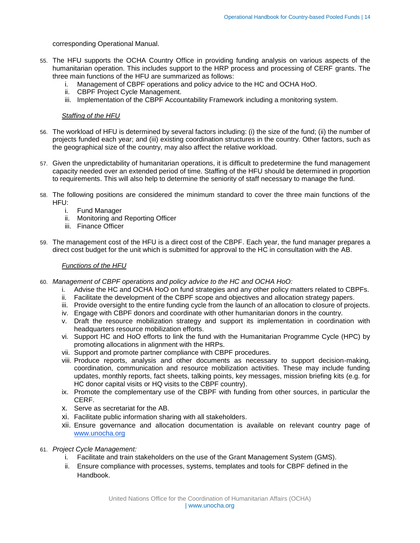## corresponding Operational Manual.

- 55. The HFU supports the OCHA Country Office in providing funding analysis on various aspects of the humanitarian operation. This includes support to the HRP process and processing of CERF grants. The three main functions of the HFU are summarized as follows:
	- i. Management of CBPF operations and policy advice to the HC and OCHA HoO.
	- ii. CBPF Project Cycle Management.
	- iii. Implementation of the CBPF Accountability Framework including a monitoring system.

#### *Staffing of the HFU*

- 56. The workload of HFU is determined by several factors including: (i) the size of the fund; (ii) the number of projects funded each year; and (iii) existing coordination structures in the country. Other factors, such as the geographical size of the country, may also affect the relative workload.
- 57. Given the unpredictability of humanitarian operations, it is difficult to predetermine the fund management capacity needed over an extended period of time. Staffing of the HFU should be determined in proportion to requirements. This will also help to determine the seniority of staff necessary to manage the fund.
- 58. The following positions are considered the minimum standard to cover the three main functions of the HFU:
	- i. Fund Manager
	- ii. Monitoring and Reporting Officer
	- iii. Finance Officer
- 59. The management cost of the HFU is a direct cost of the CBPF. Each year, the fund manager prepares a direct cost budget for the unit which is submitted for approval to the HC in consultation with the AB.

#### *Functions of the HFU*

- 60. *Management of CBPF operations and policy advice to the HC and OCHA HoO:*
	- i. Advise the HC and OCHA HoO on fund strategies and any other policy matters related to CBPFs.
	- ii. Facilitate the development of the CBPF scope and objectives and allocation strategy papers.
	- iii. Provide oversight to the entire funding cycle from the launch of an allocation to closure of projects.
	- iv. Engage with CBPF donors and coordinate with other humanitarian donors in the country.
	- v. Draft the resource mobilization strategy and support its implementation in coordination with headquarters resource mobilization efforts.
	- vi. Support HC and HoO efforts to link the fund with the Humanitarian Programme Cycle (HPC) by promoting allocations in alignment with the HRPs.
	- vii. Support and promote partner compliance with CBPF procedures.
	- viii. Produce reports, analysis and other documents as necessary to support decision-making, coordination, communication and resource mobilization activities. These may include funding updates, monthly reports, fact sheets, talking points, key messages, mission briefing kits (e.g. for HC donor capital visits or HQ visits to the CBPF country).
	- ix. Promote the complementary use of the CBPF with funding from other sources, in particular the CERF.
	- x. Serve as secretariat for the AB.
	- xi. Facilitate public information sharing with all stakeholders.
	- xii. Ensure governance and allocation documentation is available on relevant country page of [www.unocha.org](http://www.unocha.org/)
- 61. *Project Cycle Management:*
	- i. Facilitate and train stakeholders on the use of the Grant Management System (GMS).
	- ii. Ensure compliance with processes, systems, templates and tools for CBPF defined in the Handbook.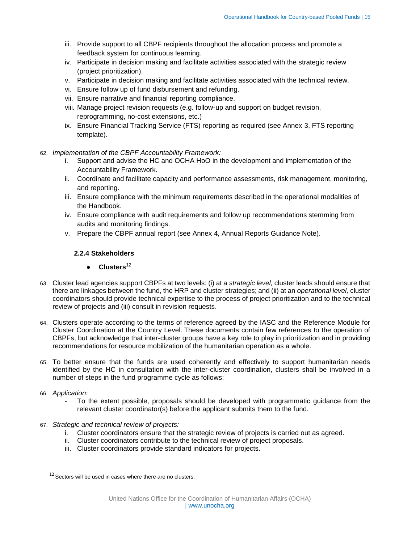- iii. Provide support to all CBPF recipients throughout the allocation process and promote a feedback system for continuous learning.
- iv. Participate in decision making and facilitate activities associated with the strategic review (project prioritization).
- v. Participate in decision making and facilitate activities associated with the technical review.
- vi. Ensure follow up of fund disbursement and refunding.
- vii. Ensure narrative and financial reporting compliance.
- viii. Manage project revision requests (e.g. follow-up and support on budget revision, reprogramming, no-cost extensions, etc.)
- ix. Ensure Financial Tracking Service (FTS) reporting as required (see Annex 3, FTS reporting template).

#### 62. *Implementation of the CBPF Accountability Framework:*

- i. Support and advise the HC and OCHA HoO in the development and implementation of the Accountability Framework.
- ii. Coordinate and facilitate capacity and performance assessments, risk management, monitoring, and reporting.
- iii. Ensure compliance with the minimum requirements described in the operational modalities of the Handbook.
- iv. Ensure compliance with audit requirements and follow up recommendations stemming from audits and monitoring findings.
- <span id="page-14-0"></span>v. Prepare the CBPF annual report (see Annex 4, Annual Reports Guidance Note).

#### **2.2.4 Stakeholders**

# ● **Clusters**<sup>12</sup>

- 63. Cluster lead agencies support CBPFs at two levels: (i) at a *strategic level,* cluster leads should ensure that there are linkages between the fund, the HRP and cluster strategies; and (ii) at an *operational level,* cluster coordinators should provide technical expertise to the process of project prioritization and to the technical review of projects and (iii) consult in revision requests.
- 64. Clusters operate according to the terms of reference agreed by the IASC and the Reference Module for Cluster Coordination at the Country Level. These documents contain few references to the operation of CBPFs, but acknowledge that inter-cluster groups have a key role to play in prioritization and in providing recommendations for resource mobilization of the humanitarian operation as a whole.
- 65. To better ensure that the funds are used coherently and effectively to support humanitarian needs identified by the HC in consultation with the inter-cluster coordination, clusters shall be involved in a number of steps in the fund programme cycle as follows:

#### 66. *Application:*

 $\overline{a}$ 

- To the extent possible, proposals should be developed with programmatic guidance from the relevant cluster coordinator(s) before the applicant submits them to the fund.
- 67. *Strategic and technical review of projects:* 
	- i. Cluster coordinators ensure that the strategic review of projects is carried out as agreed.
	- ii. Cluster coordinators contribute to the technical review of project proposals.
	- iii. Cluster coordinators provide standard indicators for projects.

 $12$  Sectors will be used in cases where there are no clusters.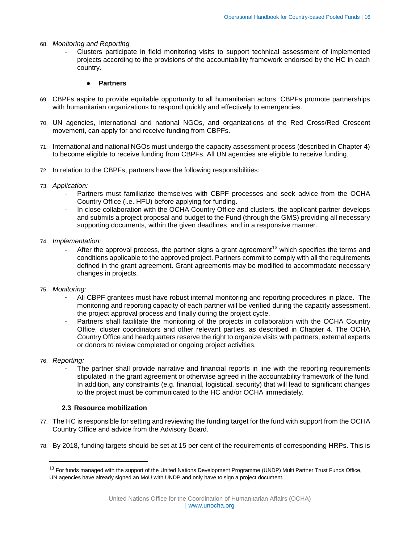68. *Monitoring and Reporting*

- Clusters participate in field monitoring visits to support technical assessment of implemented projects according to the provisions of the accountability framework endorsed by the HC in each country.

#### ● **Partners**

- 69. CBPFs aspire to provide equitable opportunity to all humanitarian actors. CBPFs promote partnerships with humanitarian organizations to respond quickly and effectively to emergencies.
- 70. UN agencies, international and national NGOs, and organizations of the Red Cross/Red Crescent movement, can apply for and receive funding from CBPFs.
- 71. International and national NGOs must undergo the capacity assessment process (described in Chapter 4) to become eligible to receive funding from CBPFs*.* All UN agencies are eligible to receive funding.
- 72. In relation to the CBPFs, partners have the following responsibilities:
- 73. *Application:* 
	- Partners must familiarize themselves with CBPF processes and seek advice from the OCHA Country Office (i.e. HFU) before applying for funding.
	- In close collaboration with the OCHA Country Office and clusters, the applicant partner develops and submits a project proposal and budget to the Fund (through the GMS) providing all necessary supporting documents, within the given deadlines, and in a responsive manner.
- 74. *Implementation:*
	- After the approval process, the partner signs a grant agreement<sup>13</sup> which specifies the terms and conditions applicable to the approved project. Partners commit to comply with all the requirements defined in the grant agreement. Grant agreements may be modified to accommodate necessary changes in projects.
- 75. *Monitoring:* 
	- All CBPF grantees must have robust internal monitoring and reporting procedures in place. The monitoring and reporting capacity of each partner will be verified during the capacity assessment, the project approval process and finally during the project cycle.
	- Partners shall facilitate the monitoring of the projects in collaboration with the OCHA Country Office, cluster coordinators and other relevant parties, as described in Chapter 4. The OCHA Country Office and headquarters reserve the right to organize visits with partners, external experts or donors to review completed or ongoing project activities.
- 76. *Reporting:*

 $\overline{\phantom{a}}$ 

The partner shall provide narrative and financial reports in line with the reporting requirements stipulated in the grant agreement or otherwise agreed in the accountability framework of the fund. In addition, any constraints (e.g. financial, logistical, security) that will lead to significant changes to the project must be communicated to the HC and/or OCHA immediately.

#### <span id="page-15-0"></span>**2.3 Resource mobilization**

- 77. The HC is responsible for setting and reviewing the funding target for the fund with support from the OCHA Country Office and advice from the Advisory Board.
- 78. By 2018, funding targets should be set at 15 per cent of the requirements of corresponding HRPs. This is

<sup>&</sup>lt;sup>13</sup> For funds managed with the support of the United Nations Development Programme (UNDP) Multi Partner Trust Funds Office, UN agencies have already signed an MoU with UNDP and only have to sign a project document.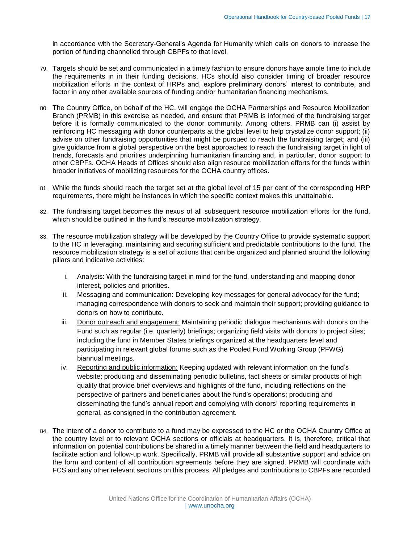in accordance with the Secretary-General's Agenda for Humanity which calls on donors to increase the portion of funding channelled through CBPFs to that level.

- 79. Targets should be set and communicated in a timely fashion to ensure donors have ample time to include the requirements in in their funding decisions. HCs should also consider timing of broader resource mobilization efforts in the context of HRPs and, explore preliminary donors' interest to contribute, and factor in any other available sources of funding and/or humanitarian financing mechanisms.
- 80. The Country Office, on behalf of the HC, will engage the OCHA Partnerships and Resource Mobilization Branch (PRMB) in this exercise as needed, and ensure that PRMB is informed of the fundraising target before it is formally communicated to the donor community. Among others, PRMB can (i) assist by reinforcing HC messaging with donor counterparts at the global level to help crystalize donor support; (ii) advise on other fundraising opportunities that might be pursued to reach the fundraising target; and (iii) give guidance from a global perspective on the best approaches to reach the fundraising target in light of trends, forecasts and priorities underpinning humanitarian financing and, in particular, donor support to other CBPFs. OCHA Heads of Offices should also align resource mobilization efforts for the funds within broader initiatives of mobilizing resources for the OCHA country offices.
- 81. While the funds should reach the target set at the global level of 15 per cent of the corresponding HRP requirements, there might be instances in which the specific context makes this unattainable.
- 82. The fundraising target becomes the nexus of all subsequent resource mobilization efforts for the fund, which should be outlined in the fund's resource mobilization strategy.
- 83. The resource mobilization strategy will be developed by the Country Office to provide systematic support to the HC in leveraging, maintaining and securing sufficient and predictable contributions to the fund. The resource mobilization strategy is a set of actions that can be organized and planned around the following pillars and indicative activities:
	- i. Analysis: With the fundraising target in mind for the fund, understanding and mapping donor interest, policies and priorities.
	- ii. Messaging and communication: Developing key messages for general advocacy for the fund; managing correspondence with donors to seek and maintain their support; providing guidance to donors on how to contribute.
	- iii. Donor outreach and engagement: Maintaining periodic dialogue mechanisms with donors on the Fund such as regular (i.e. quarterly) briefings; organizing field visits with donors to project sites; including the fund in Member States briefings organized at the headquarters level and participating in relevant global forums such as the Pooled Fund Working Group (PFWG) biannual meetings.
	- iv. Reporting and public information: Keeping updated with relevant information on the fund's website; producing and disseminating periodic bulletins, fact sheets or similar products of high quality that provide brief overviews and highlights of the fund, including reflections on the perspective of partners and beneficiaries about the fund's operations; producing and disseminating the fund's annual report and complying with donors' reporting requirements in general, as consigned in the contribution agreement.
- 84. The intent of a donor to contribute to a fund may be expressed to the HC or the OCHA Country Office at the country level or to relevant OCHA sections or officials at headquarters. It is, therefore, critical that information on potential contributions be shared in a timely manner between the field and headquarters to facilitate action and follow-up work. Specifically, PRMB will provide all substantive support and advice on the form and content of all contribution agreements before they are signed. PRMB will coordinate with FCS and any other relevant sections on this process. All pledges and contributions to CBPFs are recorded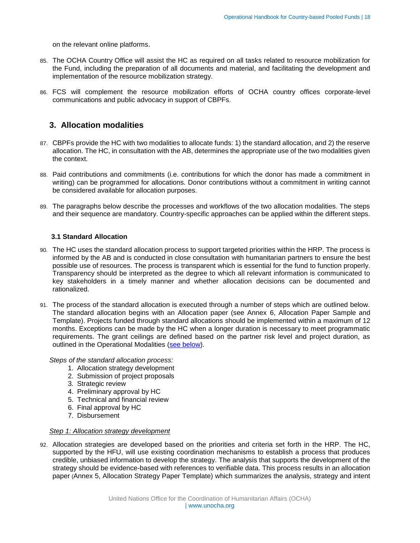on the relevant online platforms.

- 85. The OCHA Country Office will assist the HC as required on all tasks related to resource mobilization for the Fund, including the preparation of all documents and material, and facilitating the development and implementation of the resource mobilization strategy.
- 86. FCS will complement the resource mobilization efforts of OCHA country offices corporate-level communications and public advocacy in support of CBPFs.

# <span id="page-17-0"></span>**3. Allocation modalities**

- 87. CBPFs provide the HC with two modalities to allocate funds: 1) the standard allocation, and 2) the reserve allocation. The HC, in consultation with the AB, determines the appropriate use of the two modalities given the context.
- 88. Paid contributions and commitments (i.e. contributions for which the donor has made a commitment in writing) can be programmed for allocations. Donor contributions without a commitment in writing cannot be considered available for allocation purposes.
- 89. The paragraphs below describe the processes and workflows of the two allocation modalities. The steps and their sequence are mandatory. Country-specific approaches can be applied within the different steps.

# <span id="page-17-1"></span>**3.1 Standard Allocation**

- 90. The HC uses the standard allocation process to support targeted priorities within the HRP. The process is informed by the AB and is conducted in close consultation with humanitarian partners to ensure the best possible use of resources. The process is transparent which is essential for the fund to function properly. Transparency should be interpreted as the degree to which all relevant information is communicated to key stakeholders in a timely manner and whether allocation decisions can be documented and rationalized.
- 91. The process of the standard allocation is executed through a number of steps which are outlined below. The standard allocation begins with an Allocation paper (see Annex 6, Allocation Paper Sample and Template). Projects funded through standard allocations should be implemented within a maximum of 12 months. Exceptions can be made by the HC when a longer duration is necessary to meet programmatic requirements. The grant ceilings are defined based on the partner risk level and project duration, as outlined in the Operational Modalities [\(see below\)](#page-33-0).

*Steps of the standard allocation process:*

- 1. Allocation strategy development
- 2. Submission of project proposals
- 3. Strategic review
- 4. Preliminary approval by HC
- 5. Technical and financial review
- 6. Final approval by HC
- 7. Disbursement

#### *Step 1: Allocation strategy development*

92. Allocation strategies are developed based on the priorities and criteria set forth in the HRP. The HC, supported by the HFU, will use existing coordination mechanisms to establish a process that produces credible, unbiased information to develop the strategy. The analysis that supports the development of the strategy should be evidence-based with references to verifiable data. This process results in an allocation paper (Annex 5, Allocation Strategy Paper Template) which summarizes the analysis, strategy and intent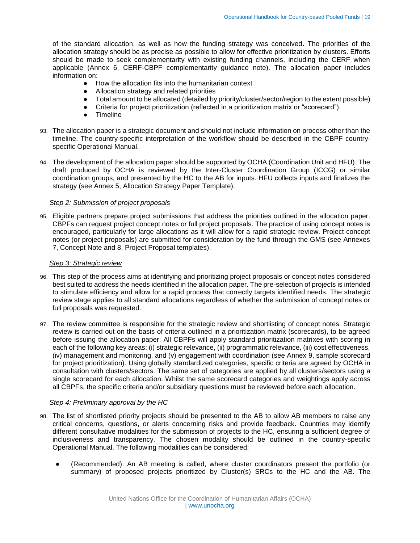of the standard allocation, as well as how the funding strategy was conceived. The priorities of the allocation strategy should be as precise as possible to allow for effective prioritization by clusters. Efforts should be made to seek complementarity with existing funding channels, including the CERF when applicable (Annex 6, CERF-CBPF complementarity guidance note). The allocation paper includes information on:

- How the allocation fits into the humanitarian context
- Allocation strategy and related priorities
- Total amount to be allocated (detailed by priority/cluster/sector/region to the extent possible)
- Criteria for project prioritization (reflected in a prioritization matrix or "scorecard").
- **Timeline**
- 93. The allocation paper is a strategic document and should not include information on process other than the timeline. The country-specific interpretation of the workflow should be described in the CBPF countryspecific Operational Manual.
- 94. The development of the allocation paper should be supported by OCHA (Coordination Unit and HFU). The draft produced by OCHA is reviewed by the Inter-Cluster Coordination Group (ICCG) or similar coordination groups, and presented by the HC to the AB for inputs. HFU collects inputs and finalizes the strategy (see Annex 5, Allocation Strategy Paper Template).

#### *Step 2: Submission of project proposals*

95. Eligible partners prepare project submissions that address the priorities outlined in the allocation paper. CBPFs can request project concept notes or full project proposals. The practice of using concept notes is encouraged, particularly for large allocations as it will allow for a rapid strategic review. Project concept notes (or project proposals) are submitted for consideration by the fund through the GMS (see Annexes 7, Concept Note and 8, Project Proposal templates).

#### <span id="page-18-0"></span>*Step 3: Strategic review*

- 96. This step of the process aims at identifying and prioritizing project proposals or concept notes considered best suited to address the needs identified in the allocation paper. The pre-selection of projects is intended to stimulate efficiency and allow for a rapid process that correctly targets identified needs. The strategic review stage applies to all standard allocations regardless of whether the submission of concept notes or full proposals was requested.
- 97. The review committee is responsible for the strategic review and shortlisting of concept notes. Strategic review is carried out on the basis of criteria outlined in a prioritization matrix (scorecards), to be agreed before issuing the allocation paper. All CBPFs will apply standard prioritization matrixes with scoring in each of the following key areas: (i) strategic relevance, (ii) programmatic relevance, (iii) cost effectiveness, (iv) management and monitoring, and (v) engagement with coordination (see Annex 9, sample scorecard for project prioritization). Using globally standardized categories, specific criteria are agreed by OCHA in consultation with clusters/sectors. The same set of categories are applied by all clusters/sectors using a single scorecard for each allocation. Whilst the same scorecard categories and weightings apply across all CBPFs, the specific criteria and/or subsidiary questions must be reviewed before each allocation.

#### *Step 4: Preliminary approval by the HC*

- 98. The list of shortlisted priority projects should be presented to the AB to allow AB members to raise any critical concerns, questions, or alerts concerning risks and provide feedback. Countries may identify different consultative modalities for the submission of projects to the HC, ensuring a sufficient degree of inclusiveness and transparency. The chosen modality should be outlined in the country-specific Operational Manual. The following modalities can be considered:
	- (Recommended): An AB meeting is called, where cluster coordinators present the portfolio (or summary) of proposed projects prioritized by Cluster(s) SRCs to the HC and the AB. The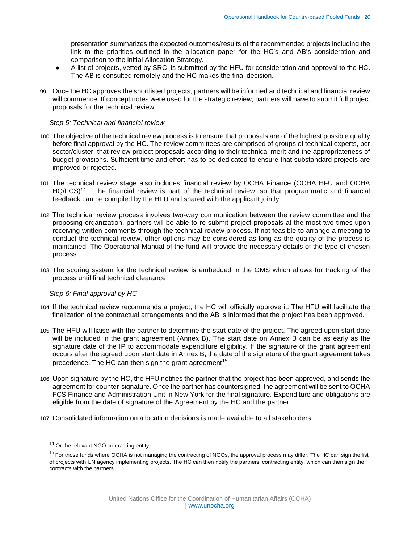presentation summarizes the expected outcomes/results of the recommended projects including the link to the priorities outlined in the allocation paper for the HC's and AB's consideration and comparison to the initial Allocation Strategy.

- A list of projects, vetted by SRC, is submitted by the HFU for consideration and approval to the HC. The AB is consulted remotely and the HC makes the final decision.
- 99. Once the HC approves the shortlisted projects, partners will be informed and technical and financial review will commence. If concept notes were used for the strategic review, partners will have to submit full project proposals for the technical review.

#### <span id="page-19-0"></span>*Step 5: Technical and financial review*

- 100. The objective of the technical review process is to ensure that proposals are of the highest possible quality before final approval by the HC. The review committees are comprised of groups of technical experts, per sector/cluster, that review project proposals according to their technical merit and the appropriateness of budget provisions. Sufficient time and effort has to be dedicated to ensure that substandard projects are improved or rejected.
- 101. The technical review stage also includes financial review by OCHA Finance (OCHA HFU and OCHA HQ/FCS)<sup>14</sup>. The financial review is part of the technical review, so that programmatic and financial feedback can be compiled by the HFU and shared with the applicant jointly.
- 102. The technical review process involves two-way communication between the review committee and the proposing organization. partners will be able to re-submit project proposals at the most two times upon receiving written comments through the technical review process. If not feasible to arrange a meeting to conduct the technical review, other options may be considered as long as the quality of the process is maintained. The Operational Manual of the fund will provide the necessary details of the type of chosen process.
- 103. The scoring system for the technical review is embedded in the GMS which allows for tracking of the process until final technical clearance.

#### *Step 6: Final approval by HC*

- 104. If the technical review recommends a project, the HC will officially approve it. The HFU will facilitate the finalization of the contractual arrangements and the AB is informed that the project has been approved.
- 105. The HFU will liaise with the partner to determine the start date of the project. The agreed upon start date will be included in the grant agreement (Annex B). The start date on Annex B can be as early as the signature date of the IP to accommodate expenditure eligibility. If the signature of the grant agreement occurs after the agreed upon start date in Annex B, the date of the signature of the grant agreement takes precedence. The HC can then sign the grant agreement<sup>15.</sup>
- 106. Upon signature by the HC, the HFU notifies the partner that the project has been approved, and sends the agreement for counter-signature. Once the partner has countersigned, the agreement will be sent to OCHA FCS Finance and Administration Unit in New York for the final signature. Expenditure and obligations are eligible from the date of signature of the Agreement by the HC and the partner.
- 107. Consolidated information on allocation decisions is made available to all stakeholders.

 $\overline{\phantom{a}}$ 

<sup>&</sup>lt;sup>14</sup> Or the relevant NGO contracting entity

<sup>&</sup>lt;sup>15</sup> For those funds where OCHA is not managing the contracting of NGOs, the approval process may differ. The HC can sign the list of projects with UN agency implementing projects. The HC can then notify the partners' contracting entity, which can then sign the contracts with the partners.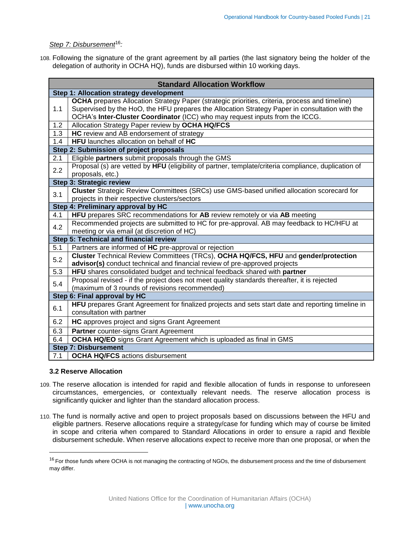## *Step 7: Disbursement*<sup>16</sup>*:*

108. Following the signature of the grant agreement by all parties (the last signatory being the holder of the delegation of authority in OCHA HQ), funds are disbursed within 10 working days.

|                                         | <b>Standard Allocation Workflow</b>                                                                                                                                                                                                                                                     |  |  |  |  |
|-----------------------------------------|-----------------------------------------------------------------------------------------------------------------------------------------------------------------------------------------------------------------------------------------------------------------------------------------|--|--|--|--|
|                                         | Step 1: Allocation strategy development                                                                                                                                                                                                                                                 |  |  |  |  |
| 1.1                                     | <b>OCHA</b> prepares Allocation Strategy Paper (strategic priorities, criteria, process and timeline)<br>Supervised by the HoO, the HFU prepares the Allocation Strategy Paper in consultation with the<br>OCHA's Inter-Cluster Coordinator (ICC) who may request inputs from the ICCG. |  |  |  |  |
| $1.2^{\circ}$                           | Allocation Strategy Paper review by OCHA HQ/FCS                                                                                                                                                                                                                                         |  |  |  |  |
| 1.3                                     | HC review and AB endorsement of strategy                                                                                                                                                                                                                                                |  |  |  |  |
| 1.4                                     | HFU launches allocation on behalf of HC                                                                                                                                                                                                                                                 |  |  |  |  |
| Step 2: Submission of project proposals |                                                                                                                                                                                                                                                                                         |  |  |  |  |
| 2.1                                     | Eligible partners submit proposals through the GMS                                                                                                                                                                                                                                      |  |  |  |  |
| 2.2                                     | Proposal (s) are vetted by HFU (eligibility of partner, template/criteria compliance, duplication of<br>proposals, etc.)                                                                                                                                                                |  |  |  |  |
|                                         | Step 3: Strategic review                                                                                                                                                                                                                                                                |  |  |  |  |
| 3.1                                     | Cluster Strategic Review Committees (SRCs) use GMS-based unified allocation scorecard for<br>projects in their respective clusters/sectors                                                                                                                                              |  |  |  |  |
|                                         | Step 4: Preliminary approval by HC                                                                                                                                                                                                                                                      |  |  |  |  |
| 4.1                                     | HFU prepares SRC recommendations for AB review remotely or via AB meeting                                                                                                                                                                                                               |  |  |  |  |
| 4.2                                     | Recommended projects are submitted to HC for pre-approval. AB may feedback to HC/HFU at<br>meeting or via email (at discretion of HC)                                                                                                                                                   |  |  |  |  |
|                                         | Step 5: Technical and financial review                                                                                                                                                                                                                                                  |  |  |  |  |
| 5.1                                     | Partners are informed of HC pre-approval or rejection                                                                                                                                                                                                                                   |  |  |  |  |
| 5.2                                     | Cluster Technical Review Committees (TRCs), OCHA HQ/FCS, HFU and gender/protection<br>advisor(s) conduct technical and financial review of pre-approved projects                                                                                                                        |  |  |  |  |
| 5.3                                     | HFU shares consolidated budget and technical feedback shared with partner                                                                                                                                                                                                               |  |  |  |  |
| 5.4                                     | Proposal revised - if the project does not meet quality standards thereafter, it is rejected<br>(maximum of 3 rounds of revisions recommended)                                                                                                                                          |  |  |  |  |
|                                         | Step 6: Final approval by HC                                                                                                                                                                                                                                                            |  |  |  |  |
| 6.1                                     | HFU prepares Grant Agreement for finalized projects and sets start date and reporting timeline in<br>consultation with partner                                                                                                                                                          |  |  |  |  |
| 6.2                                     | HC approves project and signs Grant Agreement                                                                                                                                                                                                                                           |  |  |  |  |
| 6.3                                     | <b>Partner</b> counter-signs Grant Agreement                                                                                                                                                                                                                                            |  |  |  |  |
| 6.4                                     | <b>OCHA HQ/EO</b> signs Grant Agreement which is uploaded as final in GMS                                                                                                                                                                                                               |  |  |  |  |
|                                         | <b>Step 7: Disbursement</b>                                                                                                                                                                                                                                                             |  |  |  |  |
| 7.1                                     | <b>OCHA HQ/FCS</b> actions disbursement                                                                                                                                                                                                                                                 |  |  |  |  |

#### <span id="page-20-0"></span>**3.2 Reserve Allocation**

 $\overline{a}$ 

- 109. The reserve allocation is intended for rapid and flexible allocation of funds in response to unforeseen circumstances, emergencies, or contextually relevant needs. The reserve allocation process is significantly quicker and lighter than the standard allocation process.
- 110. The fund is normally active and open to project proposals based on discussions between the HFU and eligible partners. Reserve allocations require a strategy/case for funding which may of course be limited in scope and criteria when compared to Standard Allocations in order to ensure a rapid and flexible disbursement schedule. When reserve allocations expect to receive more than one proposal, or when the

 $16$  For those funds where OCHA is not managing the contracting of NGOs, the disbursement process and the time of disbursement may differ.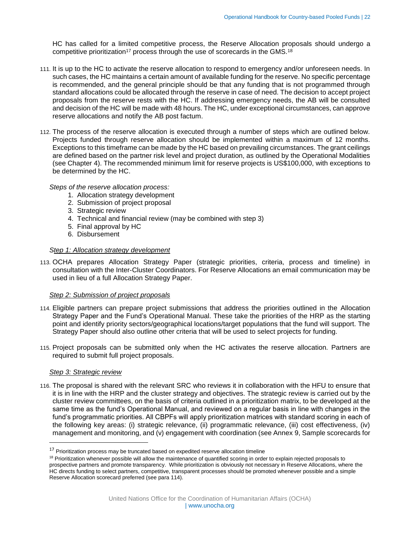HC has called for a limited competitive process, the Reserve Allocation proposals should undergo a competitive prioritization<sup>17</sup> process through the use of scorecards in the GMS.<sup>18</sup>

- 111. It is up to the HC to activate the reserve allocation to respond to emergency and/or unforeseen needs. In such cases, the HC maintains a certain amount of available funding for the reserve. No specific percentage is recommended, and the general principle should be that any funding that is not programmed through standard allocations could be allocated through the reserve in case of need. The decision to accept project proposals from the reserve rests with the HC. If addressing emergency needs, the AB will be consulted and decision of the HC will be made with 48 hours. The HC, under exceptional circumstances, can approve reserve allocations and notify the AB post factum.
- 112. The process of the reserve allocation is executed through a number of steps which are outlined below. Projects funded through reserve allocation should be implemented within a maximum of 12 months. Exceptions to this timeframe can be made by the HC based on prevailing circumstances. The grant ceilings are defined based on the partner risk level and project duration, as outlined by the Operational Modalities (see Chapter 4). The recommended minimum limit for reserve projects is US\$100,000, with exceptions to be determined by the HC.

#### *Steps of the reserve allocation process:*

- 1. Allocation strategy development
- 2. Submission of project proposal
- 3. Strategic review
- 4. Technical and financial review (may be combined with step 3)
- 5. Final approval by HC
- 6. Disbursement

#### *Step 1: Allocation strategy development*

113. OCHA prepares Allocation Strategy Paper (strategic priorities, criteria, process and timeline) in consultation with the Inter-Cluster Coordinators. For Reserve Allocations an email communication may be used in lieu of a full Allocation Strategy Paper.

#### *Step 2: Submission of project proposals*

- 114. Eligible partners can prepare project submissions that address the priorities outlined in the Allocation Strategy Paper and the Fund's Operational Manual. These take the priorities of the HRP as the starting point and identify priority sectors/geographical locations/target populations that the fund will support. The Strategy Paper should also outline other criteria that will be used to select projects for funding.
- 115. Project proposals can be submitted only when the HC activates the reserve allocation. Partners are required to submit full project proposals.

#### *Step 3: Strategic review*

l

116. The proposal is shared with the relevant SRC who reviews it in collaboration with the HFU to ensure that it is in line with the HRP and the cluster strategy and objectives. The strategic review is carried out by the cluster review committees, on the basis of criteria outlined in a prioritization matrix, to be developed at the same time as the fund's Operational Manual, and reviewed on a regular basis in line with changes in the fund's programmatic priorities. All CBPFs will apply prioritization matrices with standard scoring in each of the following key areas: (i) strategic relevance, (ii) programmatic relevance, (iii) cost effectiveness, (iv) management and monitoring, and (v) engagement with coordination (see Annex 9, Sample scorecards for

 $17$  Prioritization process may be truncated based on expedited reserve allocation timeline

<sup>&</sup>lt;sup>18</sup> Prioritization whenever possible will allow the maintenance of quantified scoring in order to explain rejected proposals to prospective partners and promote transparency. While prioritization is obviously not necessary in Reserve Allocations, where the HC directs funding to select partners, competitive, transparent processes should be promoted whenever possible and a simple Reserve Allocation scorecard preferred (see para 114).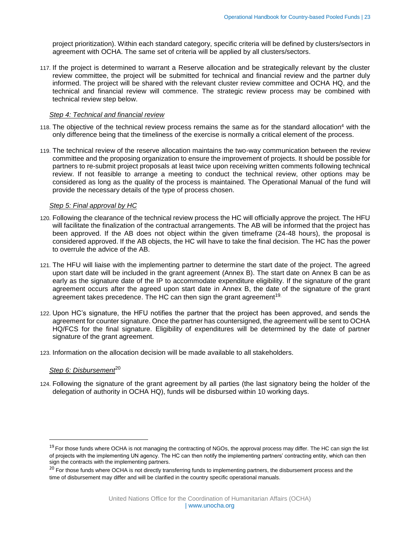project prioritization). Within each standard category, specific criteria will be defined by clusters/sectors in agreement with OCHA. The same set of criteria will be applied by all clusters/sectors.

117. If the project is determined to warrant a Reserve allocation and be strategically relevant by the cluster review committee, the project will be submitted for technical and financial review and the partner duly informed. The project will be shared with the relevant cluster review committee and OCHA HQ, and the technical and financial review will commence. The strategic review process may be combined with technical review step below.

#### *Step 4: Technical and financial review*

- 118. The objective of the technical review process remains the same as for the standard allocation<sup>4</sup> with the only difference being that the timeliness of the exercise is normally a critical element of the process.
- 119. The technical review of the reserve allocation maintains the two-way communication between the review committee and the proposing organization to ensure the improvement of projects. It should be possible for partners to re-submit project proposals at least twice upon receiving written comments following technical review. If not feasible to arrange a meeting to conduct the technical review, other options may be considered as long as the quality of the process is maintained. The Operational Manual of the fund will provide the necessary details of the type of process chosen.

#### *Step 5: Final approval by HC*

- 120. Following the clearance of the technical review process the HC will officially approve the project. The HFU will facilitate the finalization of the contractual arrangements. The AB will be informed that the project has been approved. If the AB does not object within the given timeframe (24-48 hours), the proposal is considered approved. If the AB objects, the HC will have to take the final decision. The HC has the power to overrule the advice of the AB.
- 121. The HFU will liaise with the implementing partner to determine the start date of the project. The agreed upon start date will be included in the grant agreement (Annex B). The start date on Annex B can be as early as the signature date of the IP to accommodate expenditure eligibility. If the signature of the grant agreement occurs after the agreed upon start date in Annex B, the date of the signature of the grant agreement takes precedence. The HC can then sign the grant agreement<sup>19.</sup>
- 122. Upon HC's signature, the HFU notifies the partner that the project has been approved, and sends the agreement for counter signature. Once the partner has countersigned, the agreement will be sent to OCHA HQ/FCS for the final signature. Eligibility of expenditures will be determined by the date of partner signature of the grant agreement.
- 123. Information on the allocation decision will be made available to all stakeholders.

# Step 6: Disbursement<sup>20</sup>

 $\overline{\phantom{a}}$ 

124. Following the signature of the grant agreement by all parties (the last signatory being the holder of the delegation of authority in OCHA HQ), funds will be disbursed within 10 working days.

<sup>&</sup>lt;sup>19</sup> For those funds where OCHA is not managing the contracting of NGOs, the approval process may differ. The HC can sign the list of projects with the implementing UN agency. The HC can then notify the implementing partners' contracting entity, which can then sign the contracts with the implementing partners.

<sup>&</sup>lt;sup>20</sup> For those funds where OCHA is not directly transferring funds to implementing partners, the disbursement process and the time of disbursement may differ and will be clarified in the country specific operational manuals.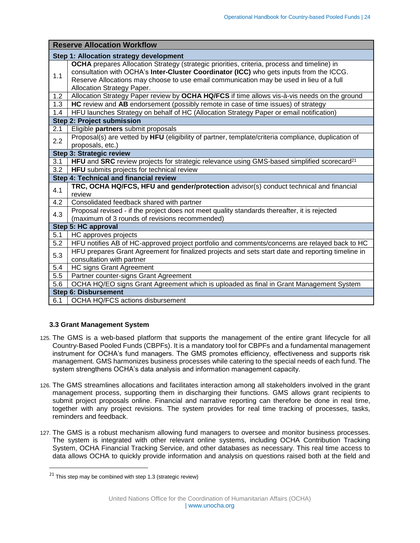|     | <b>Reserve Allocation Workflow</b>                                                                                                                                                                                                                                                                              |  |  |  |  |  |  |  |  |
|-----|-----------------------------------------------------------------------------------------------------------------------------------------------------------------------------------------------------------------------------------------------------------------------------------------------------------------|--|--|--|--|--|--|--|--|
|     | Step 1: Allocation strategy development                                                                                                                                                                                                                                                                         |  |  |  |  |  |  |  |  |
| 1.1 | OCHA prepares Allocation Strategy (strategic priorities, criteria, process and timeline) in<br>consultation with OCHA's Inter-Cluster Coordinator (ICC) who gets inputs from the ICCG.<br>Reserve Allocations may choose to use email communication may be used in lieu of a full<br>Allocation Strategy Paper. |  |  |  |  |  |  |  |  |
| 1.2 | Allocation Strategy Paper review by OCHA HQ/FCS if time allows vis-à-vis needs on the ground                                                                                                                                                                                                                    |  |  |  |  |  |  |  |  |
| 1.3 | HC review and AB endorsement (possibly remote in case of time issues) of strategy                                                                                                                                                                                                                               |  |  |  |  |  |  |  |  |
| 1.4 | HFU launches Strategy on behalf of HC (Allocation Strategy Paper or email notification)                                                                                                                                                                                                                         |  |  |  |  |  |  |  |  |
|     | <b>Step 2: Project submission</b>                                                                                                                                                                                                                                                                               |  |  |  |  |  |  |  |  |
| 2.1 | Eligible partners submit proposals                                                                                                                                                                                                                                                                              |  |  |  |  |  |  |  |  |
| 2.2 | Proposal(s) are vetted by HFU (eligibility of partner, template/criteria compliance, duplication of<br>proposals, etc.)                                                                                                                                                                                         |  |  |  |  |  |  |  |  |
|     | <b>Step 3: Strategic review</b>                                                                                                                                                                                                                                                                                 |  |  |  |  |  |  |  |  |
| 3.1 | HFU and SRC review projects for strategic relevance using GMS-based simplified scorecard <sup>21</sup>                                                                                                                                                                                                          |  |  |  |  |  |  |  |  |
| 3.2 | HFU submits projects for technical review                                                                                                                                                                                                                                                                       |  |  |  |  |  |  |  |  |
|     | Step 4: Technical and financial review                                                                                                                                                                                                                                                                          |  |  |  |  |  |  |  |  |
| 4.1 | TRC, OCHA HQ/FCS, HFU and gender/protection advisor(s) conduct technical and financial<br>review                                                                                                                                                                                                                |  |  |  |  |  |  |  |  |
| 4.2 | Consolidated feedback shared with partner                                                                                                                                                                                                                                                                       |  |  |  |  |  |  |  |  |
| 4.3 | Proposal revised - if the project does not meet quality standards thereafter, it is rejected<br>(maximum of 3 rounds of revisions recommended)                                                                                                                                                                  |  |  |  |  |  |  |  |  |
|     | Step 5: HC approval                                                                                                                                                                                                                                                                                             |  |  |  |  |  |  |  |  |
| 5.1 | HC approves projects                                                                                                                                                                                                                                                                                            |  |  |  |  |  |  |  |  |
| 5.2 | HFU notifies AB of HC-approved project portfolio and comments/concerns are relayed back to HC                                                                                                                                                                                                                   |  |  |  |  |  |  |  |  |
| 5.3 | HFU prepares Grant Agreement for finalized projects and sets start date and reporting timeline in<br>consultation with partner                                                                                                                                                                                  |  |  |  |  |  |  |  |  |
| 5.4 | <b>HC signs Grant Agreement</b>                                                                                                                                                                                                                                                                                 |  |  |  |  |  |  |  |  |
| 5.5 | Partner counter-signs Grant Agreement                                                                                                                                                                                                                                                                           |  |  |  |  |  |  |  |  |
| 5.6 | OCHA HQ/EO signs Grant Agreement which is uploaded as final in Grant Management System                                                                                                                                                                                                                          |  |  |  |  |  |  |  |  |
|     | <b>Step 6: Disbursement</b>                                                                                                                                                                                                                                                                                     |  |  |  |  |  |  |  |  |
| 6.1 | OCHA HQ/FCS actions disbursement                                                                                                                                                                                                                                                                                |  |  |  |  |  |  |  |  |

# <span id="page-23-0"></span>**3.3 Grant Management System**

- 125. The GMS is a web-based platform that supports the management of the entire grant lifecycle for all Country-Based Pooled Funds (CBPFs). It is a mandatory tool for CBPFs and a fundamental management instrument for OCHA's fund managers. The GMS promotes efficiency, effectiveness and supports risk management. GMS harmonizes business processes while catering to the special needs of each fund. The system strengthens OCHA's data analysis and information management capacity.
- 126. The GMS streamlines allocations and facilitates interaction among all stakeholders involved in the grant management process, supporting them in discharging their functions. GMS allows grant recipients to submit project proposals online. Financial and narrative reporting can therefore be done in real time, together with any project revisions. The system provides for real time tracking of processes, tasks, reminders and feedback.
- 127. The GMS is a robust mechanism allowing fund managers to oversee and monitor business processes. The system is integrated with other relevant online systems, including OCHA Contribution Tracking System, OCHA Financial Tracking Service, and other databases as necessary. This real time access to data allows OCHA to quickly provide information and analysis on questions raised both at the field and

 $\overline{a}$ 

 $21$  This step may be combined with step 1.3 (strategic review)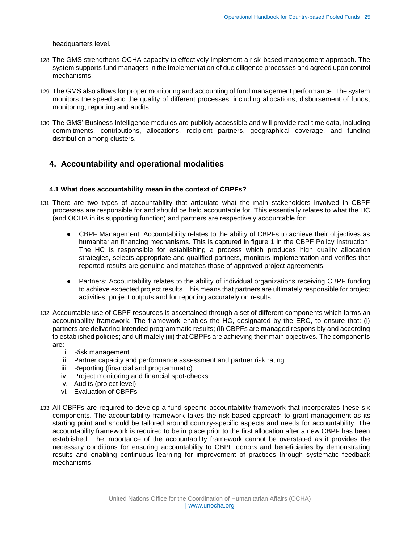headquarters level.

- 128. The GMS strengthens OCHA capacity to effectively implement a risk-based management approach. The system supports fund managers in the implementation of due diligence processes and agreed upon control mechanisms.
- 129. The GMS also allows for proper monitoring and accounting of fund management performance. The system monitors the speed and the quality of different processes, including allocations, disbursement of funds, monitoring, reporting and audits.
- 130. The GMS' Business Intelligence modules are publicly accessible and will provide real time data, including commitments, contributions, allocations, recipient partners, geographical coverage, and funding distribution among clusters.

# <span id="page-24-0"></span>**4. Accountability and operational modalities**

# <span id="page-24-1"></span>**4.1 What does accountability mean in the context of CBPFs?**

- 131. There are two types of accountability that articulate what the main stakeholders involved in CBPF processes are responsible for and should be held accountable for. This essentially relates to what the HC (and OCHA in its supporting function) and partners are respectively accountable for:
	- CBPF Management: Accountability relates to the ability of CBPFs to achieve their objectives as humanitarian financing mechanisms. This is captured in figure 1 in the CBPF Policy Instruction. The HC is responsible for establishing a process which produces high quality allocation strategies, selects appropriate and qualified partners, monitors implementation and verifies that reported results are genuine and matches those of approved project agreements.
	- Partners: Accountability relates to the ability of individual organizations receiving CBPF funding to achieve expected project results. This means that partners are ultimately responsible for project activities, project outputs and for reporting accurately on results.
- 132. Accountable use of CBPF resources is ascertained through a set of different components which forms an accountability framework. The framework enables the HC, designated by the ERC, to ensure that: (i) partners are delivering intended programmatic results; (ii) CBPFs are managed responsibly and according to established policies; and ultimately (iii) that CBPFs are achieving their main objectives. The components are:
	- i. Risk management
	- ii. Partner capacity and performance assessment and partner risk rating
	- iii. Reporting (financial and programmatic)
	- iv. Project monitoring and financial spot-checks
	- v. Audits (project level)
	- vi. Evaluation of CBPFs
- 133. All CBPFs are required to develop a fund-specific accountability framework that incorporates these six components. The accountability framework takes the risk-based approach to grant management as its starting point and should be tailored around country-specific aspects and needs for accountability. The accountability framework is required to be in place prior to the first allocation after a new CBPF has been established. The importance of the accountability framework cannot be overstated as it provides the necessary conditions for ensuring accountability to CBPF donors and beneficiaries by demonstrating results and enabling continuous learning for improvement of practices through systematic feedback mechanisms.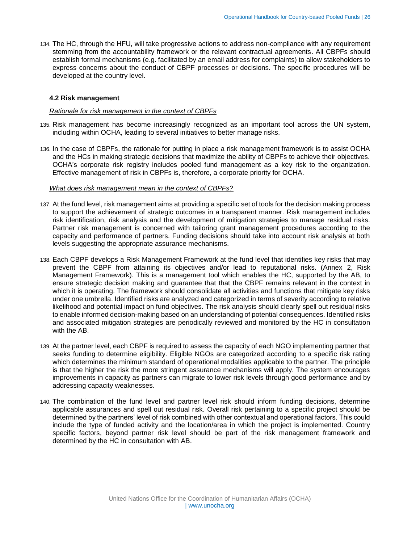134. The HC, through the HFU, will take progressive actions to address non-compliance with any requirement stemming from the accountability framework or the relevant contractual agreements. All CBPFs should establish formal mechanisms (e.g. facilitated by an email address for complaints) to allow stakeholders to express concerns about the conduct of CBPF processes or decisions. The specific procedures will be developed at the country level.

#### <span id="page-25-0"></span>**4.2 Risk management**

#### *Rationale for risk management in the context of CBPFs*

- 135. Risk management has become increasingly recognized as an important tool across the UN system, including within OCHA, leading to several initiatives to better manage risks.
- 136. In the case of CBPFs, the rationale for putting in place a risk management framework is to assist OCHA and the HCs in making strategic decisions that maximize the ability of CBPFs to achieve their objectives. OCHA's corporate risk registry includes pooled fund management as a key risk to the organization. Effective management of risk in CBPFs is, therefore, a corporate priority for OCHA.

#### *What does risk management mean in the context of CBPFs?*

- 137. At the fund level, risk management aims at providing a specific set of tools for the decision making process to support the achievement of strategic outcomes in a transparent manner. Risk management includes risk identification, risk analysis and the development of mitigation strategies to manage residual risks. Partner risk management is concerned with tailoring grant management procedures according to the capacity and performance of partners. Funding decisions should take into account risk analysis at both levels suggesting the appropriate assurance mechanisms.
- 138. Each CBPF develops a Risk Management Framework at the fund level that identifies key risks that may prevent the CBPF from attaining its objectives and/or lead to reputational risks. (Annex 2, Risk Management Framework). This is a management tool which enables the HC, supported by the AB, to ensure strategic decision making and guarantee that that the CBPF remains relevant in the context in which it is operating. The framework should consolidate all activities and functions that mitigate key risks under one umbrella. Identified risks are analyzed and categorized in terms of severity according to relative likelihood and potential impact on fund objectives. The risk analysis should clearly spell out residual risks to enable informed decision-making based on an understanding of potential consequences. Identified risks and associated mitigation strategies are periodically reviewed and monitored by the HC in consultation with the AB.
- 139. At the partner level, each CBPF is required to assess the capacity of each NGO implementing partner that seeks funding to determine eligibility. Eligible NGOs are categorized according to a specific risk rating which determines the minimum standard of operational modalities applicable to the partner. The principle is that the higher the risk the more stringent assurance mechanisms will apply. The system encourages improvements in capacity as partners can migrate to lower risk levels through good performance and by addressing capacity weaknesses.
- 140. The combination of the fund level and partner level risk should inform funding decisions, determine applicable assurances and spell out residual risk. Overall risk pertaining to a specific project should be determined by the partners' level of risk combined with other contextual and operational factors. This could include the type of funded activity and the location/area in which the project is implemented. Country specific factors, beyond partner risk level should be part of the risk management framework and determined by the HC in consultation with AB.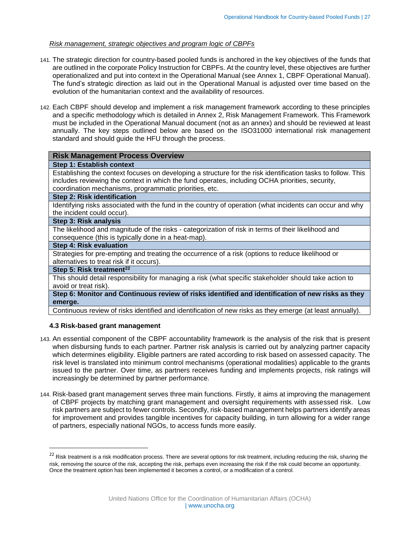#### *Risk management, strategic objectives and program logic of CBPFs*

- 141. The strategic direction for country-based pooled funds is anchored in the key objectives of the funds that are outlined in the corporate Policy Instruction for CBPFs. At the country level, these objectives are further operationalized and put into context in the Operational Manual (see Annex 1, CBPF Operational Manual). The fund's strategic direction as laid out in the Operational Manual is adjusted over time based on the evolution of the humanitarian context and the availability of resources.
- 142. Each CBPF should develop and implement a risk management framework according to these principles and a specific methodology which is detailed in Annex 2, Risk Management Framework. This Framework must be included in the Operational Manual document (not as an annex) and should be reviewed at least annually. The key steps outlined below are based on the ISO31000 international risk management standard and should guide the HFU through the process.

#### **Risk Management Process Overview**

#### **Step 1: Establish context**

Establishing the context focuses on developing a structure for the risk identification tasks to follow. This includes reviewing the context in which the fund operates, including OCHA priorities, security, coordination mechanisms, programmatic priorities, etc.

#### **Step 2: Risk identification**

Identifying risks associated with the fund in the country of operation (what incidents can occur and why the incident could occur).

#### **Step 3: Risk analysis**

The likelihood and magnitude of the risks - categorization of risk in terms of their likelihood and consequence (this is typically done in a heat-map).

## **Step 4: Risk evaluation**

Strategies for pre-empting and treating the occurrence of a risk (options to reduce likelihood or alternatives to treat risk if it occurs).

#### **Step 5: Risk treatment<sup>22</sup>**

 $\overline{a}$ 

This should detail responsibility for managing a risk (what specific stakeholder should take action to avoid or treat risk).

**Step 6: Monitor and Continuous review of risks identified and identification of new risks as they emerge.**

Continuous review of risks identified and identification of new risks as they emerge (at least annually).

#### <span id="page-26-0"></span>**4.3 Risk-based grant management**

- 143. An essential component of the CBPF accountability framework is the analysis of the risk that is present when disbursing funds to each partner. Partner risk analysis is carried out by analyzing partner capacity which determines eligibility. Eligible partners are rated according to risk based on assessed capacity. The risk level is translated into minimum control mechanisms (operational modalities) applicable to the grants issued to the partner. Over time, as partners receives funding and implements projects, risk ratings will increasingly be determined by partner performance.
- 144. Risk-based grant management serves three main functions. Firstly, it aims at improving the management of CBPF projects by matching grant management and oversight requirements with assessed risk. Low risk partners are subject to fewer controls. Secondly, risk-based management helps partners identify areas for improvement and provides tangible incentives for capacity building, in turn allowing for a wider range of partners, especially national NGOs, to access funds more easily.

<sup>&</sup>lt;sup>22</sup> Risk treatment is a risk modification process. There are several options for risk treatment, including reducing the risk, sharing the risk, removing the source of the risk, accepting the risk, perhaps even increasing the risk if the risk could become an opportunity. Once the treatment option has been implemented it becomes a control, or a modification of a control.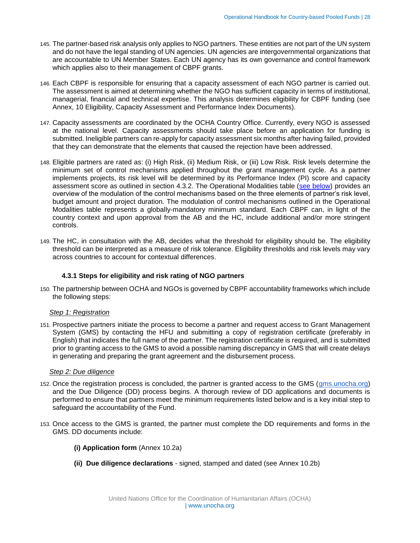- 145. The partner-based risk analysis only applies to NGO partners. These entities are not part of the UN system and do not have the legal standing of UN agencies. UN agencies are intergovernmental organizations that are accountable to UN Member States. Each UN agency has its own governance and control framework which applies also to their management of CBPF grants.
- 146. Each CBPF is responsible for ensuring that a capacity assessment of each NGO partner is carried out. The assessment is aimed at determining whether the NGO has sufficient capacity in terms of institutional, managerial, financial and technical expertise. This analysis determines eligibility for CBPF funding (see Annex, 10 Eligibility, Capacity Assessment and Performance Index Documents).
- 147. Capacity assessments are coordinated by the OCHA Country Office. Currently, every NGO is assessed at the national level. Capacity assessments should take place before an application for funding is submitted. Ineligible partners can re-apply for capacity assessment six months after having failed, provided that they can demonstrate that the elements that caused the rejection have been addressed.
- 148. Eligible partners are rated as: (i) High Risk, (ii) Medium Risk, or (iii) Low Risk. Risk levels determine the minimum set of control mechanisms applied throughout the grant management cycle. As a partner implements projects, its risk level will be determined by its Performance Index (PI) score and capacity assessment score as outlined in section 4.3.2. The Operational Modalities table [\(see below\)](#page-33-0) provides an overview of the modulation of the control mechanisms based on the three elements of partner's risk level, budget amount and project duration. The modulation of control mechanisms outlined in the Operational Modalities table represents a globally-mandatory minimum standard. Each CBPF can, in light of the country context and upon approval from the AB and the HC, include additional and/or more stringent controls.
- 149. The HC, in consultation with the AB, decides what the threshold for eligibility should be. The eligibility threshold can be interpreted as a measure of risk tolerance. Eligibility thresholds and risk levels may vary across countries to account for contextual differences.

# <span id="page-27-0"></span>**4.3.1 Steps for eligibility and risk rating of NGO partners**

150. The partnership between OCHA and NGOs is governed by CBPF accountability frameworks which include the following steps:

#### *Step 1: Registration*

151. Prospective partners initiate the process to become a partner and request access to Grant Management System (GMS) by contacting the HFU and submitting a copy of registration certificate (preferably in English) that indicates the full name of the partner. The registration certificate is required, and is submitted prior to granting access to the GMS to avoid a possible naming discrepancy in GMS that will create delays in generating and preparing the grant agreement and the disbursement process.

#### <span id="page-27-1"></span>*Step 2: Due diligence*

- 152. Once the registration process is concluded, the partner is granted access to the GMS [\(gms.unocha.org\)](https://cbpf.unocha.org/) and the Due Diligence (DD) process begins. A thorough review of DD applications and documents is performed to ensure that partners meet the minimum requirements listed below and is a key initial step to safeguard the accountability of the Fund.
- 153. Once access to the GMS is granted, the partner must complete the DD requirements and forms in the GMS. DD documents include:
	- **(i) Application form** (Annex 10.2a)
	- **(ii) Due diligence declarations** signed, stamped and dated (see Annex 10.2b)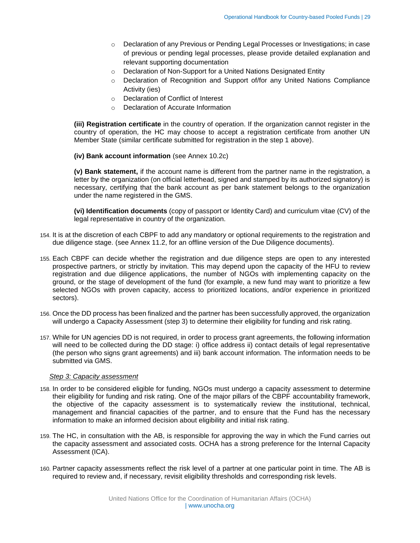- o Declaration of any Previous or Pending Legal Processes or Investigations; in case of previous or pending legal processes, please provide detailed explanation and relevant supporting documentation
- o Declaration of Non-Support for a United Nations Designated Entity
- o Declaration of Recognition and Support of/for any United Nations Compliance Activity (ies)
- o Declaration of Conflict of Interest
- o Declaration of Accurate Information

**(iii) Registration certificate** in the country of operation. If the organization cannot register in the country of operation, the HC may choose to accept a registration certificate from another UN Member State (similar certificate submitted for registration in the step 1 above).

#### **(iv) Bank account information** (see Annex 10.2c)

**(v) Bank statement,** if the account name is different from the partner name in the registration, a letter by the organization (on official letterhead, signed and stamped by its authorized signatory) is necessary, certifying that the bank account as per bank statement belongs to the organization under the name registered in the GMS.

**(vi) Identification documents** (copy of passport or Identity Card) and curriculum vitae (CV) of the legal representative in country of the organization.

- 154. It is at the discretion of each CBPF to add any mandatory or optional requirements to the registration and due diligence stage. (see Annex 11.2, for an offline version of the Due Diligence documents).
- 155. Each CBPF can decide whether the registration and due diligence steps are open to any interested prospective partners, or strictly by invitation. This may depend upon the capacity of the HFU to review registration and due diligence applications, the number of NGOs with implementing capacity on the ground, or the stage of development of the fund (for example, a new fund may want to prioritize a few selected NGOs with proven capacity, access to prioritized locations, and/or experience in prioritized sectors).
- 156. Once the DD process has been finalized and the partner has been successfully approved, the organization will undergo a Capacity Assessment (step 3) to determine their eligibility for funding and risk rating.
- 157. While for UN agencies DD is not required, in order to process grant agreements, the following information will need to be collected during the DD stage: i) office address ii) contact details of legal representative (the person who signs grant agreements) and iii) bank account information. The information needs to be submitted via GMS.

#### *Step 3: Capacity assessment*

- 158. In order to be considered eligible for funding, NGOs must undergo a capacity assessment to determine their eligibility for funding and risk rating. One of the major pillars of the CBPF accountability framework, the objective of the capacity assessment is to systematically review the institutional, technical, management and financial capacities of the partner, and to ensure that the Fund has the necessary information to make an informed decision about eligibility and initial risk rating.
- 159. The HC, in consultation with the AB, is responsible for approving the way in which the Fund carries out the capacity assessment and associated costs. OCHA has a strong preference for the Internal Capacity Assessment (ICA).
- 160. Partner capacity assessments reflect the risk level of a partner at one particular point in time. The AB is required to review and, if necessary, revisit eligibility thresholds and corresponding risk levels.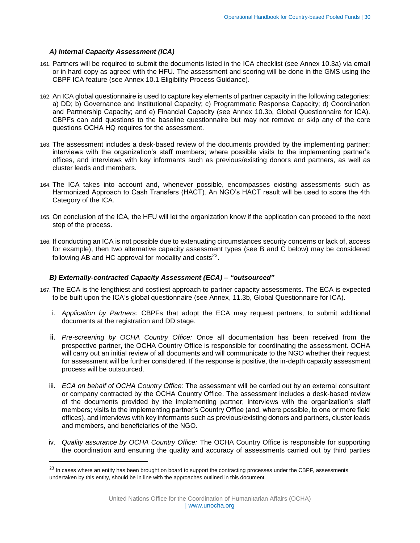## *A) Internal Capacity Assessment (ICA)*

 $\overline{\phantom{a}}$ 

- 161. Partners will be required to submit the documents listed in the ICA checklist (see Annex 10.3a) via email or in hard copy as agreed with the HFU. The assessment and scoring will be done in the GMS using the CBPF ICA feature (see Annex 10.1 Eligibility Process Guidance).
- 162. An ICA global questionnaire is used to capture key elements of partner capacity in the following categories: a) DD; b) Governance and Institutional Capacity; c) Programmatic Response Capacity; d) Coordination and Partnership Capacity; and e) Financial Capacity (see Annex 10.3b, Global Questionnaire for ICA). CBPFs can add questions to the baseline questionnaire but may not remove or skip any of the core questions OCHA HQ requires for the assessment.
- 163. The assessment includes a desk-based review of the documents provided by the implementing partner; interviews with the organization's staff members; where possible visits to the implementing partner's offices, and interviews with key informants such as previous/existing donors and partners, as well as cluster leads and members.
- 164. The ICA takes into account and, whenever possible, encompasses existing assessments such as Harmonized Approach to Cash Transfers (HACT). An NGO's HACT result will be used to score the 4th Category of the ICA.
- 165. On conclusion of the ICA, the HFU will let the organization know if the application can proceed to the next step of the process.
- 166. If conducting an ICA is not possible due to extenuating circumstances security concerns or lack of, access for example), then two alternative capacity assessment types (see B and C below) may be considered following AB and HC approval for modality and costs<sup>23</sup>.

#### *B) Externally-contracted Capacity Assessment (ECA) – "outsourced"*

- 167. The ECA is the lengthiest and costliest approach to partner capacity assessments. The ECA is expected to be built upon the ICA's global questionnaire (see Annex, 11.3b, Global Questionnaire for ICA).
	- i. *Application by Partners:* CBPFs that adopt the ECA may request partners, to submit additional documents at the registration and DD stage.
	- ii. *Pre-screening by OCHA Country Office:* Once all documentation has been received from the prospective partner, the OCHA Country Office is responsible for coordinating the assessment. OCHA will carry out an initial review of all documents and will communicate to the NGO whether their request for assessment will be further considered. If the response is positive, the in-depth capacity assessment process will be outsourced.
	- iii. *ECA on behalf of OCHA Country Office:* The assessment will be carried out by an external consultant or company contracted by the OCHA Country Office. The assessment includes a desk-based review of the documents provided by the implementing partner; interviews with the organization's staff members; visits to the implementing partner's Country Office (and, where possible, to one or more field offices), and interviews with key informants such as previous/existing donors and partners, cluster leads and members, and beneficiaries of the NGO.
	- iv. *Quality assurance by OCHA Country Office:* The OCHA Country Office is responsible for supporting the coordination and ensuring the quality and accuracy of assessments carried out by third parties

<sup>&</sup>lt;sup>23</sup> In cases where an entity has been brought on board to support the contracting processes under the CBPF, assessments undertaken by this entity, should be in line with the approaches outlined in this document.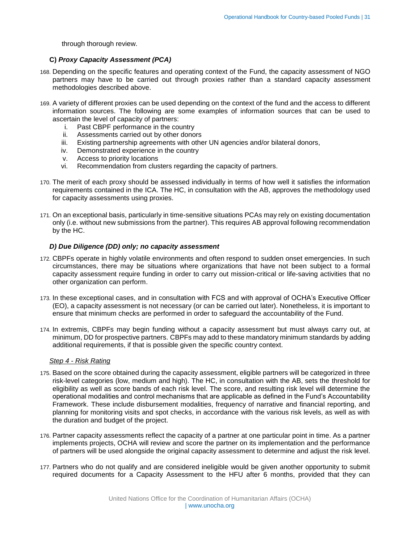through thorough review.

# **C)** *Proxy Capacity Assessment (PCA)*

- 168. Depending on the specific features and operating context of the Fund, the capacity assessment of NGO partners may have to be carried out through proxies rather than a standard capacity assessment methodologies described above.
- 169. A variety of different proxies can be used depending on the context of the fund and the access to different information sources. The following are some examples of information sources that can be used to ascertain the level of capacity of partners:
	- i. Past CBPF performance in the country
	- ii. Assessments carried out by other donors
	- iii. Existing partnership agreements with other UN agencies and/or bilateral donors,
	- iv. Demonstrated experience in the country
	- v. Access to priority locations
	- vi. Recommendation from clusters regarding the capacity of partners.
- 170. The merit of each proxy should be assessed individually in terms of how well it satisfies the information requirements contained in the ICA. The HC, in consultation with the AB, approves the methodology used for capacity assessments using proxies.
- 171. On an exceptional basis, particularly in time-sensitive situations PCAs may rely on existing documentation only (i.e. without new submissions from the partner). This requires AB approval following recommendation by the HC.

# *D) Due Diligence (DD) only; no capacity assessment*

- 172. CBPFs operate in highly volatile environments and often respond to sudden onset emergencies. In such circumstances, there may be situations where organizations that have not been subject to a formal capacity assessment require funding in order to carry out mission-critical or life-saving activities that no other organization can perform.
- 173. In these exceptional cases, and in consultation with FCS and with approval of OCHA's Executive Officer (EO), a capacity assessment is not necessary (or can be carried out later). Nonetheless, it is important to ensure that minimum checks are performed in order to safeguard the accountability of the Fund.
- 174. In extremis, CBPFs may begin funding without a capacity assessment but must always carry out, at minimum, DD for prospective partners. CBPFs may add to these mandatory minimum standards by adding additional requirements, if that is possible given the specific country context.

#### *Step 4 - Risk Rating*

- 175. Based on the score obtained during the capacity assessment, eligible partners will be categorized in three risk-level categories (low, medium and high). The HC, in consultation with the AB, sets the threshold for eligibility as well as score bands of each risk level. The score, and resulting risk level will determine the operational modalities and control mechanisms that are applicable as defined in the Fund's Accountability Framework. These include disbursement modalities, frequency of narrative and financial reporting, and planning for monitoring visits and spot checks, in accordance with the various risk levels, as well as with the duration and budget of the project.
- 176. Partner capacity assessments reflect the capacity of a partner at one particular point in time. As a partner implements projects, OCHA will review and score the partner on its implementation and the performance of partners will be used alongside the original capacity assessment to determine and adjust the risk level.
- 177. Partners who do not qualify and are considered ineligible would be given another opportunity to submit required documents for a Capacity Assessment to the HFU after 6 months, provided that they can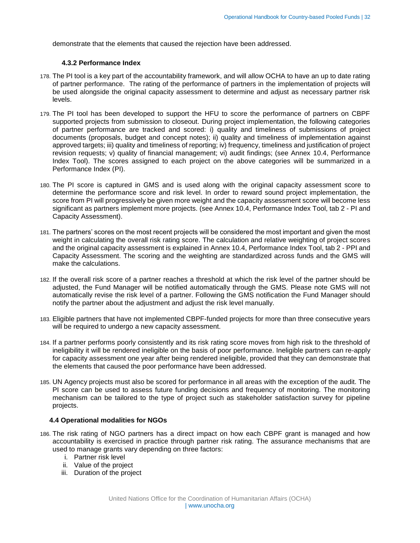<span id="page-31-0"></span>demonstrate that the elements that caused the rejection have been addressed.

#### **4.3.2 Performance Index**

- 178. The PI tool is a key part of the accountability framework, and will allow OCHA to have an up to date rating of partner performance. The rating of the performance of partners in the implementation of projects will be used alongside the original capacity assessment to determine and adjust as necessary partner risk levels.
- 179. The PI tool has been developed to support the HFU to score the performance of partners on CBPF supported projects from submission to closeout. During project implementation, the following categories of partner performance are tracked and scored: i) quality and timeliness of submissions of project documents (proposals, budget and concept notes); ii) quality and timeliness of implementation against approved targets; iii) quality and timeliness of reporting; iv) frequency, timeliness and justification of project revision requests; v) quality of financial management; vi) audit findings; (see Annex 10.4, Performance Index Tool). The scores assigned to each project on the above categories will be summarized in a Performance Index (PI).
- 180. The PI score is captured in GMS and is used along with the original capacity assessment score to determine the performance score and risk level. In order to reward sound project implementation, the score from PI will progressively be given more weight and the capacity assessment score will become less significant as partners implement more projects. (see Annex 10.4, Performance Index Tool, tab 2 - PI and Capacity Assessment).
- 181. The partners' scores on the most recent projects will be considered the most important and given the most weight in calculating the overall risk rating score. The calculation and relative weighting of project scores and the original capacity assessment is explained in Annex 10.4, Performance Index Tool, tab 2 - PPI and Capacity Assessment. The scoring and the weighting are standardized across funds and the GMS will make the calculations.
- 182. If the overall risk score of a partner reaches a threshold at which the risk level of the partner should be adjusted, the Fund Manager will be notified automatically through the GMS. Please note GMS will not automatically revise the risk level of a partner. Following the GMS notification the Fund Manager should notify the partner about the adjustment and adjust the risk level manually.
- 183. Eligible partners that have not implemented CBPF-funded projects for more than three consecutive years will be required to undergo a new capacity assessment.
- 184. If a partner performs poorly consistently and its risk rating score moves from high risk to the threshold of ineligibility it will be rendered ineligible on the basis of poor performance. Ineligible partners can re-apply for capacity assessment one year after being rendered ineligible, provided that they can demonstrate that the elements that caused the poor performance have been addressed.
- 185. UN Agency projects must also be scored for performance in all areas with the exception of the audit. The PI score can be used to assess future funding decisions and frequency of monitoring. The monitoring mechanism can be tailored to the type of project such as stakeholder satisfaction survey for pipeline projects.

#### <span id="page-31-1"></span>**4.4 Operational modalities for NGOs**

- 186. The risk rating of NGO partners has a direct impact on how each CBPF grant is managed and how accountability is exercised in practice through partner risk rating. The assurance mechanisms that are used to manage grants vary depending on three factors:
	- i. Partner risk level
	- ii. Value of the project
	- iii. Duration of the project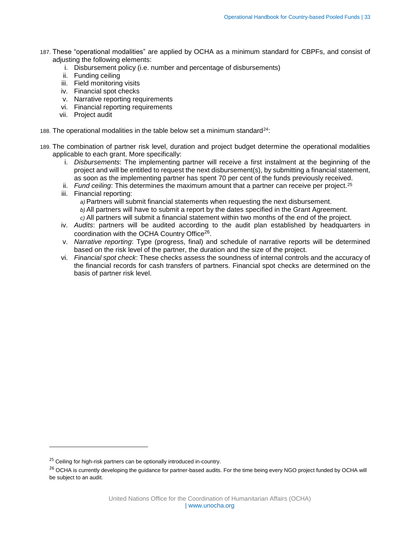- 187. These "operational modalities" are applied by OCHA as a minimum standard for CBPFs, and consist of adjusting the following elements:
	- i. Disbursement policy (i.e. number and percentage of disbursements)
	- ii. Funding ceiling
	- iii. Field monitoring visits
	- iv. Financial spot checks
	- v. Narrative reporting requirements
	- vi. Financial reporting requirements
	- vii. Project audit
- 188. The operational modalities in the table below set a minimum standard<sup>24</sup>:
- 189. The combination of partner risk level, duration and project budget determine the operational modalities applicable to each grant. More specifically:
	- i. *Disbursements*: The implementing partner will receive a first instalment at the beginning of the project and will be entitled to request the next disbursement(s), by submitting a financial statement, as soon as the implementing partner has spent 70 per cent of the funds previously received.
	- ii. *Fund ceiling*: This determines the maximum amount that a partner can receive per project.<sup>25</sup>
	- iii. Financial reporting:

*a)* Partners will submit financial statements when requesting the next disbursement.

*b)* All partners will have to submit a report by the dates specified in the Grant Agreement.

*c)* All partners will submit a financial statement within two months of the end of the project.

- iv. *Audits*: partners will be audited according to the audit plan established by headquarters in coordination with the OCHA Country Office<sup>26</sup>.
- v. *Narrative reporting*: Type (progress, final) and schedule of narrative reports will be determined based on the risk level of the partner, the duration and the size of the project.
- vi. *Financial spot check*: These checks assess the soundness of internal controls and the accuracy of the financial records for cash transfers of partners. Financial spot checks are determined on the basis of partner risk level.

 $\overline{\phantom{a}}$ 

<sup>&</sup>lt;sup>25</sup> Ceiling for high-risk partners can be optionally introduced in-country.

<sup>&</sup>lt;sup>26</sup> OCHA is currently developing the guidance for partner-based audits. For the time being every NGO project funded by OCHA will be subject to an audit.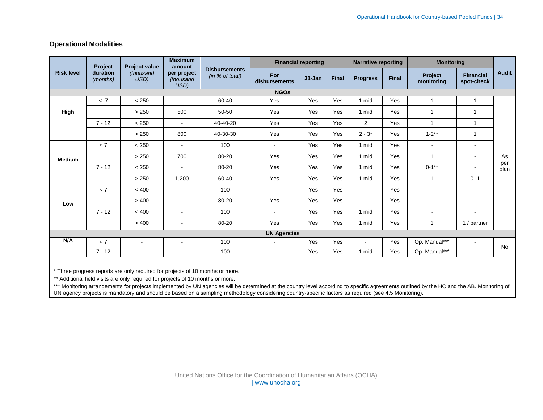# **Operational Modalities**

|                      | <b>Maximum</b>    |                                  | <b>Financial reporting</b> |                      | <b>Narrative reporting</b> |              | <b>Monitoring</b> |              |                       |                                |                   |
|----------------------|-------------------|----------------------------------|----------------------------|----------------------|----------------------------|--------------|-------------------|--------------|-----------------------|--------------------------------|-------------------|
| duration<br>(months) | (thousand<br>USD) | per project<br>(thousand<br>USD) | (in % of total)            | For<br>disbursements | $31 - Jan$                 | <b>Final</b> | <b>Progress</b>   | <b>Final</b> | Project<br>monitoring | <b>Financial</b><br>spot-check | <b>Audit</b>      |
| <b>NGOs</b>          |                   |                                  |                            |                      |                            |              |                   |              |                       |                                |                   |
| < 7                  | < 250             | ÷,                               | 60-40                      | Yes                  | Yes                        | Yes          |                   | Yes          | $\overline{1}$        | $\mathbf{1}$                   |                   |
|                      | > 250             | 500                              | 50-50                      | Yes                  | Yes                        | Yes          | 1 mid             | Yes          | $\overline{1}$        | 1                              |                   |
| $7 - 12$             | < 250             | $\sim$                           | 40-40-20                   | Yes                  | Yes                        | Yes          | 2                 | Yes          | 1                     | 1                              |                   |
|                      | > 250             | 800                              | 40-30-30                   | Yes                  | Yes                        | Yes          | $2 - 3*$          | Yes          | $1 - 2^{**}$          | 1                              |                   |
| < 7                  | < 250             | $\sim$                           | 100                        | $\blacksquare$       | Yes                        | Yes          | 1 mid             | Yes          | $\blacksquare$        | $\blacksquare$                 |                   |
|                      | > 250             | 700                              | 80-20                      | Yes                  | Yes                        | Yes          | 1 mid             | Yes          | 1                     | $\blacksquare$                 | As<br>per<br>plan |
| $7 - 12$             | < 250             | $\mathbf{r}$                     | 80-20                      | Yes                  | Yes                        | Yes          | 1 mid             | Yes          | $0 - 1**$             | $\overline{\phantom{a}}$       |                   |
|                      | > 250             | 1,200                            | 60-40                      | Yes                  | Yes                        | Yes          | 1 mid             | Yes          | $\overline{1}$        | $0 - 1$                        |                   |
| < 7                  | < 400             | $\blacksquare$                   | 100                        | $\sim$               | Yes                        | Yes          | $\sim$            | Yes          | $\blacksquare$        | $\blacksquare$                 |                   |
|                      | > 400             | $\blacksquare$                   | 80-20                      | Yes                  | Yes                        | Yes          | $\sim$            | Yes          | $\blacksquare$        | $\blacksquare$                 |                   |
| $7 - 12$             | < 400             | $\blacksquare$                   | 100                        | $\sim$               | Yes                        | Yes          | 1 mid             | Yes          | $\blacksquare$        | $\blacksquare$                 |                   |
|                      | > 400             | $\blacksquare$                   | 80-20                      | Yes                  | Yes                        | Yes          | 1 mid             | Yes          | 1                     | 1 / partner                    |                   |
| <b>UN Agencies</b>   |                   |                                  |                            |                      |                            |              |                   |              |                       |                                |                   |
| < 7                  | $\blacksquare$    | $\blacksquare$                   | 100                        | $\blacksquare$       | Yes                        | Yes          | $\sim$            | Yes          | Op. Manual***         | ۰                              | <b>No</b>         |
| $7 - 12$             | $\blacksquare$    | $\blacksquare$                   | 100                        | $\sim$               | Yes                        | Yes          | 1 mid             | Yes          | Op. Manual***         | $\sim$                         |                   |
|                      | Project           | <b>Project value</b>             | amount                     | <b>Disbursements</b> |                            |              |                   | 1 mid        |                       |                                |                   |

<span id="page-33-0"></span>\* Three progress reports are only required for projects of 10 months or more.

\*\* Additional field visits are only required for projects of 10 months or more.

\*\*\* Monitoring arrangements for projects implemented by UN agencies will be determined at the country level according to specific agreements outlined by the HC and the AB. Monitoring of UN agency projects is mandatory and should be based on a sampling methodology considering country-specific factors as required (see 4.5 Monitoring).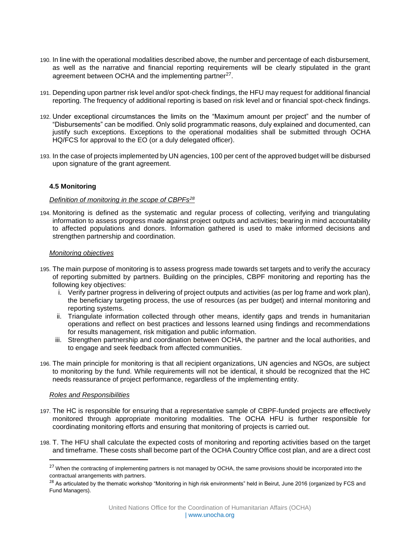- 190. In line with the operational modalities described above, the number and percentage of each disbursement, as well as the narrative and financial reporting requirements will be clearly stipulated in the grant agreement between OCHA and the implementing partner<sup>27</sup>.
- 191. Depending upon partner risk level and/or spot-check findings, the HFU may request for additional financial reporting. The frequency of additional reporting is based on risk level and or financial spot-check findings.
- 192. Under exceptional circumstances the limits on the "Maximum amount per project" and the number of "Disbursements" can be modified. Only solid programmatic reasons, duly explained and documented, can justify such exceptions. Exceptions to the operational modalities shall be submitted through OCHA HQ/FCS for approval to the EO (or a duly delegated officer).
- 193. In the case of projects implemented by UN agencies, 100 per cent of the approved budget will be disbursed upon signature of the grant agreement.

# <span id="page-34-0"></span>**4.5 Monitoring**

#### *Definition of monitoring in the scope of CBPFs<sup>28</sup>*

194. Monitoring is defined as the systematic and regular process of collecting, verifying and triangulating information to assess progress made against project outputs and activities; bearing in mind accountability to affected populations and donors. Information gathered is used to make informed decisions and strengthen partnership and coordination.

#### *Monitoring objectives*

- 195. The main purpose of monitoring is to assess progress made towards set targets and to verify the accuracy of reporting submitted by partners. Building on the principles, CBPF monitoring and reporting has the following key objectives:
	- i. Verify partner progress in delivering of project outputs and activities (as per log frame and work plan), the beneficiary targeting process, the use of resources (as per budget) and internal monitoring and reporting systems.
	- ii. Triangulate information collected through other means, identify gaps and trends in humanitarian operations and reflect on best practices and lessons learned using findings and recommendations for results management, risk mitigation and public information.
	- iii. Strengthen partnership and coordination between OCHA, the partner and the local authorities, and to engage and seek feedback from affected communities.
- 196. The main principle for monitoring is that all recipient organizations, UN agencies and NGOs, are subject to monitoring by the fund. While requirements will not be identical, it should be recognized that the HC needs reassurance of project performance, regardless of the implementing entity.

#### *Roles and Responsibilities*

 $\overline{\phantom{a}}$ 

- 197. The HC is responsible for ensuring that a representative sample of CBPF-funded projects are effectively monitored through appropriate monitoring modalities. The OCHA HFU is further responsible for coordinating monitoring efforts and ensuring that monitoring of projects is carried out.
- 198. T. The HFU shall calculate the expected costs of monitoring and reporting activities based on the target and timeframe. These costs shall become part of the OCHA Country Office cost plan, and are a direct cost

<sup>&</sup>lt;sup>27</sup> When the contracting of implementing partners is not managed by OCHA, the same provisions should be incorporated into the contractual arrangements with partners.

<sup>&</sup>lt;sup>28</sup> As articulated by the thematic workshop "Monitoring in high risk environments" held in Beirut, June 2016 (organized by FCS and Fund Managers).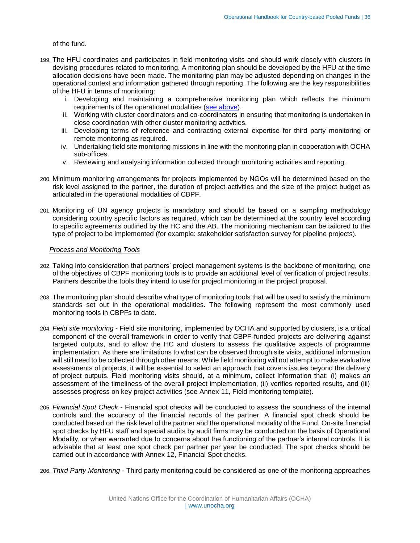of the fund.

- 199. The HFU coordinates and participates in field monitoring visits and should work closely with clusters in devising procedures related to monitoring. A monitoring plan should be developed by the HFU at the time allocation decisions have been made. The monitoring plan may be adjusted depending on changes in the operational context and information gathered through reporting. The following are the key responsibilities of the HFU in terms of monitoring:
	- i. Developing and maintaining a comprehensive monitoring plan which reflects the minimum requirements of the operational modalities [\(see above\)](#page-31-1).
	- ii. Working with cluster coordinators and co-coordinators in ensuring that monitoring is undertaken in close coordination with other cluster monitoring activities.
	- iii. Developing terms of reference and contracting external expertise for third party monitoring or remote monitoring as required.
	- iv. Undertaking field site monitoring missions in line with the monitoring plan in cooperation with OCHA sub-offices.
	- v. Reviewing and analysing information collected through monitoring activities and reporting.
- 200. Minimum monitoring arrangements for projects implemented by NGOs will be determined based on the risk level assigned to the partner, the duration of project activities and the size of the project budget as articulated in the operational modalities of CBPF.
- 201. Monitoring of UN agency projects is mandatory and should be based on a sampling methodology considering country specific factors as required, which can be determined at the country level according to specific agreements outlined by the HC and the AB. The monitoring mechanism can be tailored to the type of project to be implemented (for example: stakeholder satisfaction survey for pipeline projects).

#### *Process and Monitoring Tools*

- 202. Taking into consideration that partners' project management systems is the backbone of monitoring, one of the objectives of CBPF monitoring tools is to provide an additional level of verification of project results. Partners describe the tools they intend to use for project monitoring in the project proposal.
- 203. The monitoring plan should describe what type of monitoring tools that will be used to satisfy the minimum standards set out in the operational modalities. The following represent the most commonly used monitoring tools in CBPFs to date.
- 204. *Field site monitoring* Field site monitoring, implemented by OCHA and supported by clusters, is a critical component of the overall framework in order to verify that CBPF-funded projects are delivering against targeted outputs, and to allow the HC and clusters to assess the qualitative aspects of programme implementation. As there are limitations to what can be observed through site visits, additional information will still need to be collected through other means. While field monitoring will not attempt to make evaluative assessments of projects, it will be essential to select an approach that covers issues beyond the delivery of project outputs. Field monitoring visits should, at a minimum, collect information that: (i) makes an assessment of the timeliness of the overall project implementation, (ii) verifies reported results, and (iii) assesses progress on key project activities (see Annex 11, Field monitoring template).
- 205. *Financial Spot Check* Financial spot checks will be conducted to assess the soundness of the internal controls and the accuracy of the financial records of the partner. A financial spot check should be conducted based on the risk level of the partner and the operational modality of the Fund. On-site financial spot checks by HFU staff and special audits by audit firms may be conducted on the basis of Operational Modality, or when warranted due to concerns about the functioning of the partner's internal controls. It is advisable that at least one spot check per partner per year be conducted. The spot checks should be carried out in accordance with Annex 12, Financial Spot checks.
- 206. *Third Party Monitoring* Third party monitoring could be considered as one of the monitoring approaches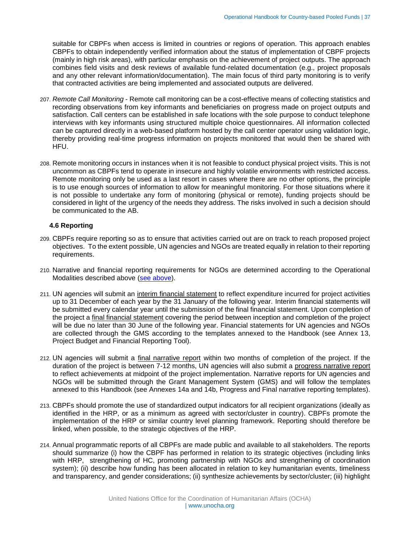suitable for CBPFs when access is limited in countries or regions of operation. This approach enables CBPFs to obtain independently verified information about the status of implementation of CBPF projects (mainly in high risk areas), with particular emphasis on the achievement of project outputs. The approach combines field visits and desk reviews of available fund-related documentation (e.g., project proposals and any other relevant information/documentation). The main focus of third party monitoring is to verify that contracted activities are being implemented and associated outputs are delivered.

- 207. *Remote Call Monitoring* Remote call monitoring can be a cost-effective means of collecting statistics and recording observations from key informants and beneficiaries on progress made on project outputs and satisfaction. Call centers can be established in safe locations with the sole purpose to conduct telephone interviews with key informants using structured multiple choice questionnaires. All information collected can be captured directly in a web-based platform hosted by the call center operator using validation logic, thereby providing real-time progress information on projects monitored that would then be shared with HFU.
- 208. Remote monitoring occurs in instances when it is not feasible to conduct physical project visits. This is not uncommon as CBPFs tend to operate in insecure and highly volatile environments with restricted access. Remote monitoring only be used as a last resort in cases where there are no other options, the principle is to use enough sources of information to allow for meaningful monitoring. For those situations where it is not possible to undertake any form of monitoring (physical or remote), funding projects should be considered in light of the urgency of the needs they address. The risks involved in such a decision should be communicated to the AB.

# <span id="page-36-0"></span>**4.6 Reporting**

- 209. CBPFs require reporting so as to ensure that activities carried out are on track to reach proposed project objectives. To the extent possible, UN agencies and NGOs are treated equally in relation to their reporting requirements.
- 210. Narrative and financial reporting requirements for NGOs are determined according to the Operational Modalities described above [\(see above\)](#page-31-1).
- 211. UN agencies will submit an interim financial statement to reflect expenditure incurred for project activities up to 31 December of each year by the 31 January of the following year. Interim financial statements will be submitted every calendar year until the submission of the final financial statement. Upon completion of the project a final financial statement covering the period between inception and completion of the project will be due no later than 30 June of the following year. Financial statements for UN agencies and NGOs are collected through the GMS according to the templates annexed to the Handbook (see Annex 13, Project Budget and Financial Reporting Tool).
- 212. UN agencies will submit a final narrative report within two months of completion of the project. If the duration of the project is between 7-12 months, UN agencies will also submit a progress narrative report to reflect achievements at midpoint of the project implementation. Narrative reports for UN agencies and NGOs will be submitted through the Grant Management System (GMS) and will follow the templates annexed to this Handbook (see Annexes 14a and 14b, Progress and Final narrative reporting templates).
- 213. CBPFs should promote the use of standardized output indicators for all recipient organizations (ideally as identified in the HRP, or as a minimum as agreed with sector/cluster in country). CBPFs promote the implementation of the HRP or similar country level planning framework. Reporting should therefore be linked, when possible, to the strategic objectives of the HRP.
- 214. Annual programmatic reports of all CBPFs are made public and available to all stakeholders. The reports should summarize (i) how the CBPF has performed in relation to its strategic objectives (including links with HRP, strengthening of HC, promoting partnership with NGOs and strengthening of coordination system); (ii) describe how funding has been allocated in relation to key humanitarian events, timeliness and transparency, and gender considerations; (ii) synthesize achievements by sector/cluster; (iii) highlight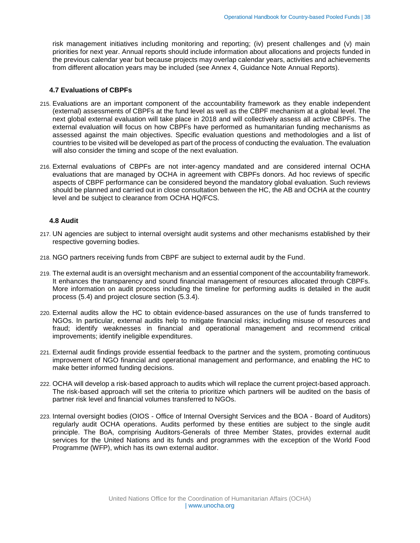risk management initiatives including monitoring and reporting; (iv) present challenges and (v) main priorities for next year. Annual reports should include information about allocations and projects funded in the previous calendar year but because projects may overlap calendar years, activities and achievements from different allocation years may be included (see Annex 4, Guidance Note Annual Reports).

#### <span id="page-37-0"></span>**4.7 Evaluations of CBPFs**

- 215. Evaluations are an important component of the accountability framework as they enable independent (external) assessments of CBPFs at the fund level as well as the CBPF mechanism at a global level. The next global external evaluation will take place in 2018 and will collectively assess all active CBPFs. The external evaluation will focus on how CBPFs have performed as humanitarian funding mechanisms as assessed against the main objectives. Specific evaluation questions and methodologies and a list of countries to be visited will be developed as part of the process of conducting the evaluation. The evaluation will also consider the timing and scope of the next evaluation.
- 216. External evaluations of CBPFs are not inter-agency mandated and are considered internal OCHA evaluations that are managed by OCHA in agreement with CBPFs donors. Ad hoc reviews of specific aspects of CBPF performance can be considered beyond the mandatory global evaluation. Such reviews should be planned and carried out in close consultation between the HC, the AB and OCHA at the country level and be subject to clearance from OCHA HQ/FCS.

#### <span id="page-37-1"></span>**4.8 Audit**

- 217. UN agencies are subject to internal oversight audit systems and other mechanisms established by their respective governing bodies.
- 218. NGO partners receiving funds from CBPF are subject to external audit by the Fund.
- 219. The external audit is an oversight mechanism and an essential component of the accountability framework. It enhances the transparency and sound financial management of resources allocated through CBPFs. More information on audit process including the timeline for performing audits is detailed in the audit process (5.4) and project closure section (5.3.4).
- 220. External audits allow the HC to obtain evidence-based assurances on the use of funds transferred to NGOs. In particular, external audits help to mitigate financial risks; including misuse of resources and fraud; identify weaknesses in financial and operational management and recommend critical improvements; identify ineligible expenditures.
- 221. External audit findings provide essential feedback to the partner and the system, promoting continuous improvement of NGO financial and operational management and performance, and enabling the HC to make better informed funding decisions.
- 222. OCHA will develop a risk-based approach to audits which will replace the current project-based approach. The risk-based approach will set the criteria to prioritize which partners will be audited on the basis of partner risk level and financial volumes transferred to NGOs.
- 223. Internal oversight bodies (OIOS Office of Internal Oversight Services and the BOA Board of Auditors) regularly audit OCHA operations. Audits performed by these entities are subject to the single audit principle. The BoA, comprising Auditors-Generals of three Member States, provides external audit services for the United Nations and its funds and programmes with the exception of the World Food Programme (WFP), which has its own external auditor.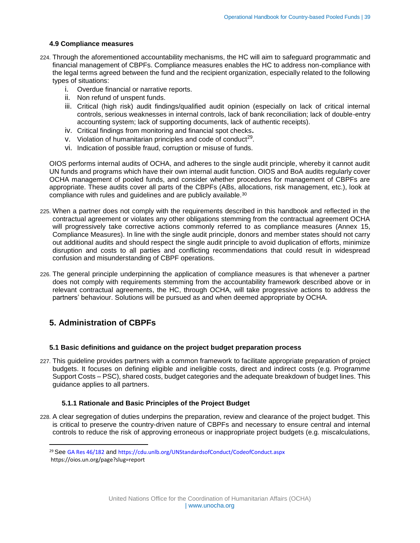# <span id="page-38-0"></span>**4.9 Compliance measures**

- 224. Through the aforementioned accountability mechanisms, the HC will aim to safeguard programmatic and financial management of CBPFs. Compliance measures enables the HC to address non-compliance with the legal terms agreed between the fund and the recipient organization, especially related to the following types of situations:
	- i. Overdue financial or narrative reports.
	- ii. Non refund of unspent funds.
	- iii. Critical (high risk) audit findings/qualified audit opinion (especially on lack of critical internal controls, serious weaknesses in internal controls, lack of bank reconciliation; lack of double-entry accounting system; lack of supporting documents, lack of authentic receipts).
	- iv. Critical findings from monitoring and financial spot checks**.**
	- v. Violation of humanitarian principles and code of conduct<sup>29</sup>.
	- vi. Indication of possible fraud, corruption or misuse of funds.

OIOS performs internal audits of OCHA, and adheres to the single audit principle, whereby it cannot audit UN funds and programs which have their own internal audit function. OIOS and BoA audits regularly cover OCHA management of pooled funds, and consider whether procedures for management of CBPFs are appropriate. These audits cover all parts of the CBPFs (ABs, allocations, risk management, etc.), look at compliance with rules and guidelines and are publicly available.<sup>30</sup>

- 225. When a partner does not comply with the requirements described in this handbook and reflected in the contractual agreement or violates any other obligations stemming from the contractual agreement OCHA will progressively take corrective actions commonly referred to as compliance measures (Annex 15, Compliance Measures). In line with the single audit principle, donors and member states should not carry out additional audits and should respect the single audit principle to avoid duplication of efforts, minimize disruption and costs to all parties and conflicting recommendations that could result in widespread confusion and misunderstanding of CBPF operations.
- 226. The general principle underpinning the application of compliance measures is that whenever a partner does not comply with requirements stemming from the accountability framework described above or in relevant contractual agreements, the HC, through OCHA, will take progressive actions to address the partners' behaviour. Solutions will be pursued as and when deemed appropriate by OCHA.

# <span id="page-38-1"></span>**5. Administration of CBPFs**

 $\overline{\phantom{a}}$ 

#### <span id="page-38-2"></span>**5.1 Basic definitions and guidance on the project budget preparation process**

227. This guideline provides partners with a common framework to facilitate appropriate preparation of project budgets. It focuses on defining eligible and ineligible costs, direct and indirect costs (e.g. Programme Support Costs – PSC), shared costs, budget categories and the adequate breakdown of budget lines. This guidance applies to all partners.

# <span id="page-38-3"></span>**5.1.1 Rationale and Basic Principles of the Project Budget**

228. A clear segregation of duties underpins the preparation, review and clearance of the project budget. This is critical to preserve the country-driven nature of CBPFs and necessary to ensure central and internal controls to reduce the risk of approving erroneous or inappropriate project budgets (e.g. miscalculations,

<sup>29</sup> See [GA Res 46/182](http://www.un.org/documents/ga/res/46/a46r182.htm) and <https://cdu.unlb.org/UNStandardsofConduct/CodeofConduct.aspx> https://oios.un.org/page?slug=report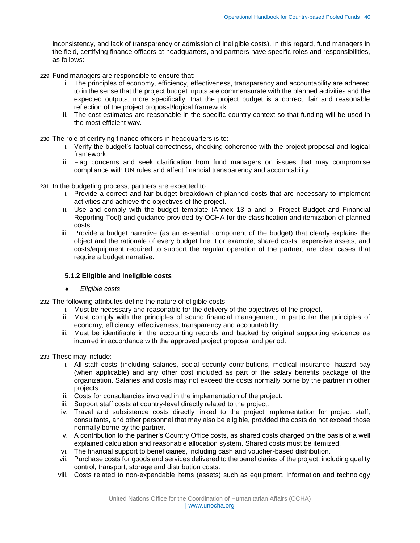inconsistency, and lack of transparency or admission of ineligible costs). In this regard, fund managers in the field, certifying finance officers at headquarters, and partners have specific roles and responsibilities, as follows:

- 229. Fund managers are responsible to ensure that:
	- i. The principles of economy, efficiency, effectiveness, transparency and accountability are adhered to in the sense that the project budget inputs are commensurate with the planned activities and the expected outputs, more specifically, that the project budget is a correct, fair and reasonable reflection of the project proposal/logical framework
	- ii. The cost estimates are reasonable in the specific country context so that funding will be used in the most efficient way.
- 230. The role of certifying finance officers in headquarters is to:
	- i. Verify the budget's factual correctness, checking coherence with the project proposal and logical framework.
	- ii. Flag concerns and seek clarification from fund managers on issues that may compromise compliance with UN rules and affect financial transparency and accountability.
- 231. In the budgeting process, partners are expected to:
	- i. Provide a correct and fair budget breakdown of planned costs that are necessary to implement activities and achieve the objectives of the project.
	- ii. Use and comply with the budget template (Annex 13 a and b: Project Budget and Financial Reporting Tool) and guidance provided by OCHA for the classification and itemization of planned costs.
	- iii. Provide a budget narrative (as an essential component of the budget) that clearly explains the object and the rationale of every budget line. For example, shared costs, expensive assets, and costs/equipment required to support the regular operation of the partner, are clear cases that require a budget narrative.

# <span id="page-39-0"></span>**5.1.2 Eligible and Ineligible costs**

- *Eligible costs*
- 232. The following attributes define the nature of eligible costs:
	- i. Must be necessary and reasonable for the delivery of the objectives of the project.
	- ii. Must comply with the principles of sound financial management, in particular the principles of economy, efficiency, effectiveness, transparency and accountability.
	- iii. Must be identifiable in the accounting records and backed by original supporting evidence as incurred in accordance with the approved project proposal and period.

233. These may include:

- i. All staff costs (including salaries, social security contributions, medical insurance, hazard pay (when applicable) and any other cost included as part of the salary benefits package of the organization. Salaries and costs may not exceed the costs normally borne by the partner in other projects.
- ii. Costs for consultancies involved in the implementation of the project.
- iii. Support staff costs at country-level directly related to the project.
- iv. Travel and subsistence costs directly linked to the project implementation for project staff, consultants, and other personnel that may also be eligible, provided the costs do not exceed those normally borne by the partner.
- v. A contribution to the partner's Country Office costs, as shared costs charged on the basis of a well explained calculation and reasonable allocation system. Shared costs must be itemized.
- vi. The financial support to beneficiaries, including cash and voucher-based distribution.
- vii. Purchase costs for goods and services delivered to the beneficiaries of the project, including quality control, transport, storage and distribution costs.
- viii. Costs related to non-expendable items (assets) such as equipment, information and technology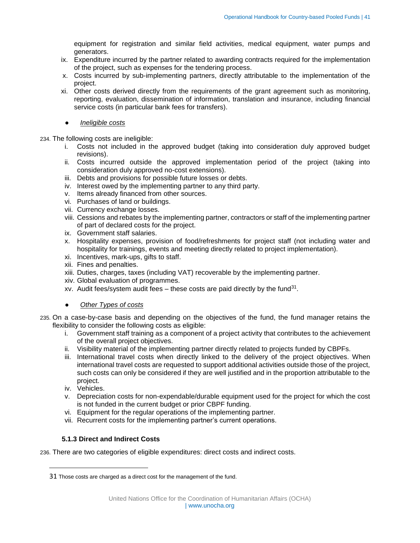equipment for registration and similar field activities, medical equipment, water pumps and generators.

- ix. Expenditure incurred by the partner related to awarding contracts required for the implementation of the project, such as expenses for the tendering process.
- x. Costs incurred by sub-implementing partners, directly attributable to the implementation of the project.
- xi. Other costs derived directly from the requirements of the grant agreement such as monitoring, reporting, evaluation, dissemination of information, translation and insurance, including financial service costs (in particular bank fees for transfers).
	- *Ineligible costs*

#### 234. The following costs are ineligible:

- i. Costs not included in the approved budget (taking into consideration duly approved budget revisions).
- ii. Costs incurred outside the approved implementation period of the project (taking into consideration duly approved no-cost extensions).
- iii. Debts and provisions for possible future losses or debts.
- iv. Interest owed by the implementing partner to any third party.
- v. Items already financed from other sources.
- vi. Purchases of land or buildings.
- vii. Currency exchange losses.
- viii. Cessions and rebates by the implementing partner, contractors or staff of the implementing partner of part of declared costs for the project.
- ix. Government staff salaries.
- x. Hospitality expenses, provision of food/refreshments for project staff (not including water and hospitality for trainings, events and meeting directly related to project implementation).
- xi. Incentives, mark-ups, gifts to staff.
- xii. Fines and penalties.
- xiii. Duties, charges, taxes (including VAT) recoverable by the implementing partner.
- xiv. Global evaluation of programmes.
- xv. Audit fees/system audit fees  $-$  these costs are paid directly by the fund<sup>31</sup>.
- **Other Types of costs**
- 235. On a case-by-case basis and depending on the objectives of the fund, the fund manager retains the flexibility to consider the following costs as eligible:
	- i. Government staff training as a component of a project activity that contributes to the achievement of the overall project objectives.
	- ii. Visibility material of the implementing partner directly related to projects funded by CBPFs.
	- iii. International travel costs when directly linked to the delivery of the project objectives. When international travel costs are requested to support additional activities outside those of the project, such costs can only be considered if they are well justified and in the proportion attributable to the project.
	- iv. Vehicles.

 $\overline{a}$ 

- v. Depreciation costs for non-expendable/durable equipment used for the project for which the cost is not funded in the current budget or prior CBPF funding.
- vi. Equipment for the regular operations of the implementing partner.
- vii. Recurrent costs for the implementing partner's current operations.

# <span id="page-40-0"></span>**5.1.3 Direct and Indirect Costs**

236. There are two categories of eligible expenditures: direct costs and indirect costs.

<sup>31</sup> Those costs are charged as a direct cost for the management of the fund.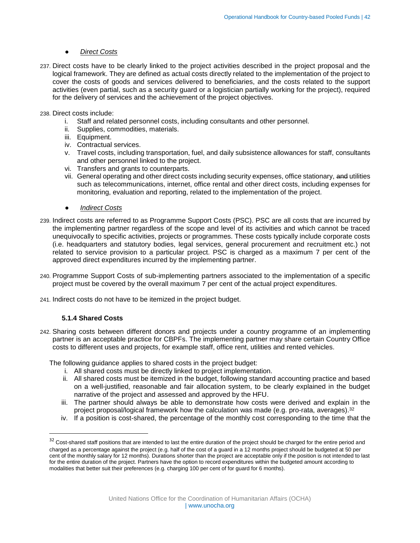# ● *Direct Costs*

237. Direct costs have to be clearly linked to the project activities described in the project proposal and the logical framework. They are defined as actual costs directly related to the implementation of the project to cover the costs of goods and services delivered to beneficiaries, and the costs related to the support activities (even partial, such as a security guard or a logistician partially working for the project), required for the delivery of services and the achievement of the project objectives.

238. Direct costs include:

- i. Staff and related personnel costs, including consultants and other personnel.
- ii. Supplies, commodities, materials.
- iii. Equipment.
- iv. Contractual services.
- v. Travel costs, including transportation, fuel, and daily subsistence allowances for staff, consultants and other personnel linked to the project.
- vi. Transfers and grants to counterparts.
- vii. General operating and other direct costs including security expenses, office stationary, and utilities such as telecommunications, internet, office rental and other direct costs, including expenses for monitoring, evaluation and reporting, related to the implementation of the project.
- *Indirect Costs*
- 239. Indirect costs are referred to as Programme Support Costs (PSC). PSC are all costs that are incurred by the implementing partner regardless of the scope and level of its activities and which cannot be traced unequivocally to specific activities, projects or programmes. These costs typically include corporate costs (i.e. headquarters and statutory bodies, legal services, general procurement and recruitment etc.) not related to service provision to a particular project. PSC is charged as a maximum 7 per cent of the approved direct expenditures incurred by the implementing partner.
- 240. Programme Support Costs of sub-implementing partners associated to the implementation of a specific project must be covered by the overall maximum 7 per cent of the actual project expenditures.
- <span id="page-41-0"></span>241. Indirect costs do not have to be itemized in the project budget.

# **5.1.4 Shared Costs**

 $\overline{\phantom{a}}$ 

242. Sharing costs between different donors and projects under a country programme of an implementing partner is an acceptable practice for CBPFs. The implementing partner may share certain Country Office costs to different uses and projects, for example staff, office rent, utilities and rented vehicles.

The following guidance applies to shared costs in the project budget:

- i. All shared costs must be directly linked to project implementation.
- ii. All shared costs must be itemized in the budget, following standard accounting practice and based on a well-justified, reasonable and fair allocation system, to be clearly explained in the budget narrative of the project and assessed and approved by the HFU.
- iii. The partner should always be able to demonstrate how costs were derived and explain in the project proposal/logical framework how the calculation was made (e.g. pro-rata, averages).<sup>32</sup>
- iv. If a position is cost-shared, the percentage of the monthly cost corresponding to the time that the

<sup>&</sup>lt;sup>32</sup> Cost-shared staff positions that are intended to last the entire duration of the project should be charged for the entire period and charged as a percentage against the project (e.g. half of the cost of a guard in a 12 months project should be budgeted at 50 per cent of the monthly salary for 12 months). Durations shorter than the project are acceptable only if the position is not intended to last for the entire duration of the project. Partners have the option to record expenditures within the budgeted amount according to modalities that better suit their preferences (e.g. charging 100 per cent of for guard for 6 months).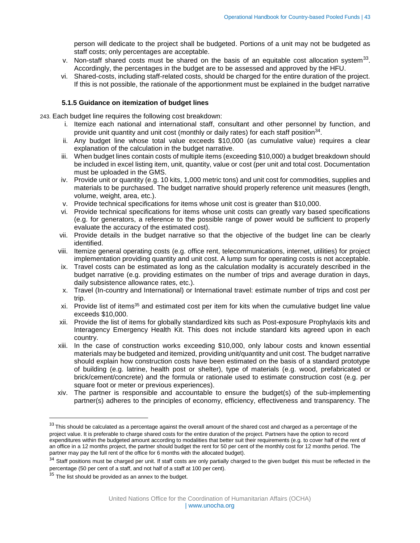person will dedicate to the project shall be budgeted. Portions of a unit may not be budgeted as staff costs; only percentages are acceptable.

- v. Non-staff shared costs must be shared on the basis of an equitable cost allocation system $^{33}$ . Accordingly, the percentages in the budget are to be assessed and approved by the HFU.
- vi. Shared-costs, including staff-related costs, should be charged for the entire duration of the project. If this is not possible, the rationale of the apportionment must be explained in the budget narrative

#### <span id="page-42-0"></span>**5.1.5 Guidance on itemization of budget lines**

243. Each budget line requires the following cost breakdown:

- i. Itemize each national and international staff, consultant and other personnel by function, and provide unit quantity and unit cost (monthly or daily rates) for each staff position<sup>34</sup>.
- ii. Any budget line whose total value exceeds \$10,000 (as cumulative value) requires a clear explanation of the calculation in the budget narrative.
- iii. When budget lines contain costs of multiple items (exceeding \$10,000) a budget breakdown should be included in excel listing item, unit, quantity, value or cost (per unit and total cost. Documentation must be uploaded in the GMS.
- iv. Provide unit or quantity (e.g. 10 kits, 1,000 metric tons) and unit cost for commodities, supplies and materials to be purchased. The budget narrative should properly reference unit measures (length, volume, weight, area, etc.).
- v. Provide technical specifications for items whose unit cost is greater than \$10,000.
- vi. Provide technical specifications for items whose unit costs can greatly vary based specifications (e.g. for generators, a reference to the possible range of power would be sufficient to properly evaluate the accuracy of the estimated cost).
- vii. Provide details in the budget narrative so that the objective of the budget line can be clearly identified.
- viii. Itemize general operating costs (e.g. office rent, telecommunications, internet, utilities) for project implementation providing quantity and unit cost. A lump sum for operating costs is not acceptable.
- ix. Travel costs can be estimated as long as the calculation modality is accurately described in the budget narrative (e.g. providing estimates on the number of trips and average duration in days, daily subsistence allowance rates, etc.).
- x. Travel (In-country and International) or International travel: estimate number of trips and cost per trip.
- xi. Provide list of items<sup>35</sup> and estimated cost per item for kits when the cumulative budget line value exceeds \$10,000.
- xii. Provide the list of items for globally standardized kits such as Post-exposure Prophylaxis kits and Interagency Emergency Health Kit. This does not include standard kits agreed upon in each country.
- xiii. In the case of construction works exceeding \$10,000, only labour costs and known essential materials may be budgeted and itemized, providing unit/quantity and unit cost. The budget narrative should explain how construction costs have been estimated on the basis of a standard prototype of building (e.g. latrine, health post or shelter), type of materials (e.g. wood, prefabricated or brick/cement/concrete) and the formula or rationale used to estimate construction cost (e.g. per square foot or meter or previous experiences).
- xiv. The partner is responsible and accountable to ensure the budget(s) of the sub-implementing partner(s) adheres to the principles of economy, efficiency, effectiveness and transparency. The

 $\overline{\phantom{a}}$ 

 $33$  This should be calculated as a percentage against the overall amount of the shared cost and charged as a percentage of the project value. It is preferable to charge shared costs for the entire duration of the project. Partners have the option to record expenditures within the budgeted amount according to modalities that better suit their requirements (e.g. to cover half of the rent of an office in a 12 months project, the partner should budget the rent for 50 per cent of the monthly cost for 12 months period. The partner may pay the full rent of the office for 6 months with the allocated budget).

<sup>&</sup>lt;sup>34</sup> Staff positions must be charged per unit. If staff costs are only partially charged to the given budget this must be reflected in the percentage (50 per cent of a staff, and not half of a staff at 100 per cent).

 $35$  The list should be provided as an annex to the budget.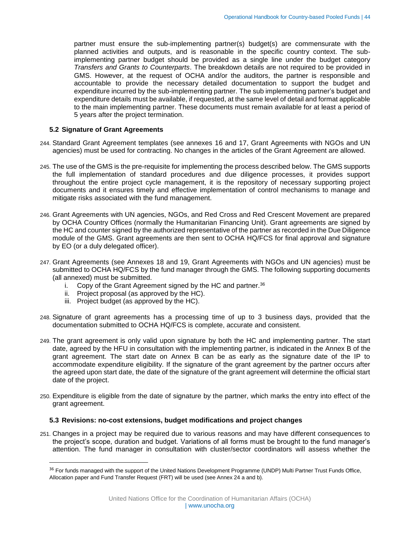partner must ensure the sub-implementing partner(s) budget(s) are commensurate with the planned activities and outputs, and is reasonable in the specific country context. The subimplementing partner budget should be provided as a single line under the budget category *Transfers and Grants to Counterparts*. The breakdown details are not required to be provided in GMS. However, at the request of OCHA and/or the auditors, the partner is responsible and accountable to provide the necessary detailed documentation to support the budget and expenditure incurred by the sub-implementing partner. The sub implementing partner's budget and expenditure details must be available, if requested, at the same level of detail and format applicable to the main implementing partner. These documents must remain available for at least a period of 5 years after the project termination.

#### <span id="page-43-0"></span>**5.2 Signature of Grant Agreements**

- 244. Standard Grant Agreement templates (see annexes 16 and 17, Grant Agreements with NGOs and UN agencies) must be used for contracting. No changes in the articles of the Grant Agreement are allowed.
- 245. The use of the GMS is the pre-requisite for implementing the process described below. The GMS supports the full implementation of standard procedures and due diligence processes, it provides support throughout the entire project cycle management, it is the repository of necessary supporting project documents and it ensures timely and effective implementation of control mechanisms to manage and mitigate risks associated with the fund management.
- 246. Grant Agreements with UN agencies, NGOs, and Red Cross and Red Crescent Movement are prepared by OCHA Country Offices (normally the Humanitarian Financing Unit). Grant agreements are signed by the HC and counter signed by the authorized representative of the partner as recorded in the Due Diligence module of the GMS. Grant agreements are then sent to OCHA HQ/FCS for final approval and signature by EO (or a duly delegated officer).
- 247. Grant Agreements (see Annexes 18 and 19, Grant Agreements with NGOs and UN agencies) must be submitted to OCHA HQ/FCS by the fund manager through the GMS. The following supporting documents (all annexed) must be submitted.
	- i. Copy of the Grant Agreement signed by the HC and partner. $36$
	- i. Copy of the Claim Agreement eighted by the HC).
	- iii. Project budget (as approved by the HC).

 $\overline{a}$ 

- 248. Signature of grant agreements has a processing time of up to 3 business days, provided that the documentation submitted to OCHA HQ/FCS is complete, accurate and consistent.
- 249. The grant agreement is only valid upon signature by both the HC and implementing partner. The start date, agreed by the HFU in consultation with the implementing partner, is indicated in the Annex B of the grant agreement. The start date on Annex B can be as early as the signature date of the IP to accommodate expenditure eligibility. If the signature of the grant agreement by the partner occurs after the agreed upon start date, the date of the signature of the grant agreement will determine the official start date of the project.
- 250. Expenditure is eligible from the date of signature by the partner, which marks the entry into effect of the grant agreement.

#### <span id="page-43-1"></span>**5.3 Revisions: no-cost extensions, budget modifications and project changes**

251. Changes in a project may be required due to various reasons and may have different consequences to the project's scope, duration and budget. Variations of all forms must be brought to the fund manager's attention. The fund manager in consultation with cluster/sector coordinators will assess whether the

<sup>&</sup>lt;sup>36</sup> For funds managed with the support of the United Nations Development Programme (UNDP) Multi Partner Trust Funds Office, Allocation paper and Fund Transfer Request (FRT) will be used (see Annex 24 a and b).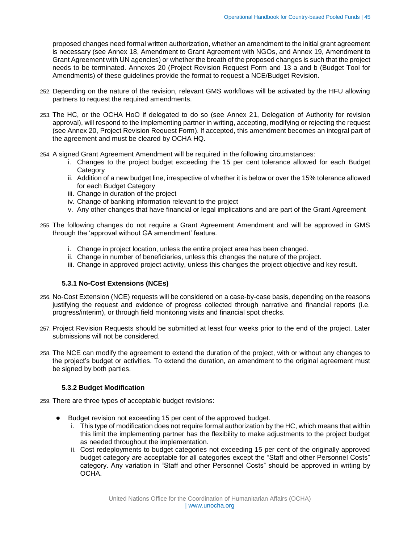proposed changes need formal written authorization, whether an amendment to the initial grant agreement is necessary (see Annex 18, Amendment to Grant Agreement with NGOs, and Annex 19, Amendment to Grant Agreement with UN agencies) or whether the breath of the proposed changes is such that the project needs to be terminated. Annexes 20 (Project Revision Request Form and 13 a and b (Budget Tool for Amendments) of these guidelines provide the format to request a NCE/Budget Revision.

- 252. Depending on the nature of the revision, relevant GMS workflows will be activated by the HFU allowing partners to request the required amendments.
- <span id="page-44-2"></span>253. The HC, or the OCHA HoO if delegated to do so (see Annex 21, Delegation of Authority for revision approval), will respond to the implementing partner in writing, accepting, modifying or rejecting the request (see Annex 20, Project Revision Request Form). If accepted, this amendment becomes an integral part of the agreement and must be cleared by OCHA HQ.
- 254. A signed Grant Agreement Amendment will be required in the following circumstances:
	- i. Changes to the project budget exceeding the 15 per cent tolerance allowed for each Budget **Category**
	- ii. Addition of a new budget line, irrespective of whether it is below or over the 15% tolerance allowed for each Budget Category
	- iii. Change in duration of the project
	- iv. Change of banking information relevant to the project
	- v. Any other changes that have financial or legal implications and are part of the Grant Agreement
- 255. The following changes do not require a Grant Agreement Amendment and will be approved in GMS through the 'approval without GA amendment' feature.
	- i. Change in project location, unless the entire project area has been changed.
	- ii. Change in number of beneficiaries, unless this changes the nature of the project.
	- iii. Change in approved project activity, unless this changes the project objective and key result.

#### <span id="page-44-0"></span>**5.3.1 No-Cost Extensions (NCEs)**

- 256. No-Cost Extension (NCE) requests will be considered on a case-by-case basis, depending on the reasons justifying the request and evidence of progress collected through narrative and financial reports (i.e. progress/interim), or through field monitoring visits and financial spot checks.
- 257. Project Revision Requests should be submitted at least four weeks prior to the end of the project. Later submissions will not be considered.
- 258. The NCE can modify the agreement to extend the duration of the project, with or without any changes to the project's budget or activities. To extend the duration, an amendment to the original agreement must be signed by both parties.

#### <span id="page-44-1"></span>**5.3.2 Budget Modification**

259. There are three types of acceptable budget revisions:

- Budget revision not exceeding 15 per cent of the approved budget.
	- i. This type of modification does not require formal authorization by the HC, which means that within this limit the implementing partner has the flexibility to make adjustments to the project budget as needed throughout the implementation.
	- ii. Cost redeployments to budget categories not exceeding 15 per cent of the originally approved budget category are acceptable for all categories except the "Staff and other Personnel Costs" category. Any variation in "Staff and other Personnel Costs" should be approved in writing by OCHA.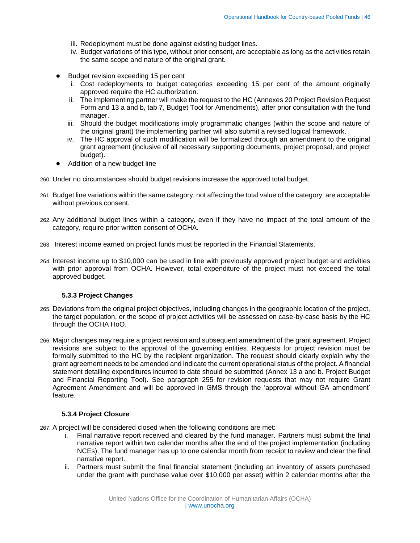- iii. Redeployment must be done against existing budget lines.
- iv. Budget variations of this type, without prior consent, are acceptable as long as the activities retain the same scope and nature of the original grant.
- Budget revision exceeding 15 per cent
	- i. Cost redeployments to budget categories exceeding 15 per cent of the amount originally approved require the HC authorization.
	- ii. The implementing partner will make the request to the HC (Annexes 20 Project Revision Request Form and 13 a and b, tab 7, Budget Tool for Amendments), after prior consultation with the fund manager.
	- iii. Should the budget modifications imply programmatic changes (within the scope and nature of the original grant) the implementing partner will also submit a revised logical framework.
	- iv. The HC approval of such modification will be formalized through an amendment to the original grant agreement (inclusive of all necessary supporting documents, project proposal, and project budget).
- Addition of a new budget line
- 260. Under no circumstances should budget revisions increase the approved total budget.
- 261. Budget line variations within the same category, not affecting the total value of the category, are acceptable without previous consent.
- 262. Any additional budget lines within a category, even if they have no impact of the total amount of the category, require prior written consent of OCHA.
- 263. Interest income earned on project funds must be reported in the Financial Statements.
- 264. Interest income up to \$10,000 can be used in line with previously approved project budget and activities with prior approval from OCHA. However, total expenditure of the project must not exceed the total approved budget.

#### <span id="page-45-0"></span>**5.3.3 Project Changes**

- 265. Deviations from the original project objectives, including changes in the geographic location of the project, the target population, or the scope of project activities will be assessed on case-by-case basis by the HC through the OCHA HoO.
- 266. Major changes may require a project revision and subsequent amendment of the grant agreement. Project revisions are subject to the approval of the governing entities. Requests for project revision must be formally submitted to the HC by the recipient organization. The request should clearly explain why the grant agreement needs to be amended and indicate the current operational status of the project. A financial statement detailing expenditures incurred to date should be submitted (Annex 13 a and b. Project Budget and Financial Reporting Tool). See paragraph 255 for revision requests that may not require Grant Agreement Amendment and will be approved in GMS through the 'approval without GA amendment' feature.

#### <span id="page-45-1"></span>**5.3.4 Project Closure**

- 267. A project will be considered closed when the following conditions are met:
	- i. Final narrative report received and cleared by the fund manager. Partners must submit the final narrative report within two calendar months after the end of the project implementation (including NCEs). The fund manager has up to one calendar month from receipt to review and clear the final narrative report.
	- ii. Partners must submit the final financial statement (including an inventory of assets purchased under the grant with purchase value over \$10,000 per asset) within 2 calendar months after the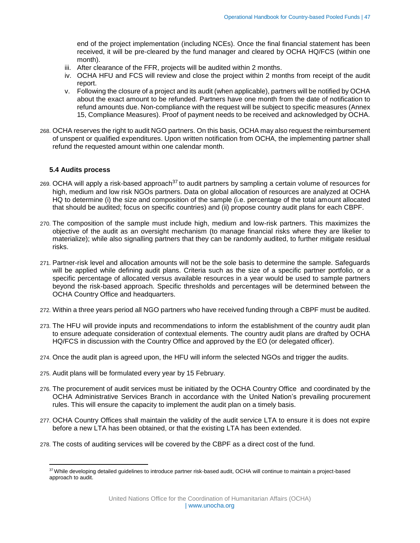end of the project implementation (including NCEs). Once the final financial statement has been received, it will be pre-cleared by the fund manager and cleared by OCHA HQ/FCS (within one month).

- iii. After clearance of the FFR, projects will be audited within 2 months.
- iv. OCHA HFU and FCS will review and close the project within 2 months from receipt of the audit report.
- v. Following the closure of a project and its audit (when applicable), partners will be notified by OCHA about the exact amount to be refunded. Partners have one month from the date of notification to refund amounts due. Non-compliance with the request will be subject to specific measures (Annex 15, Compliance Measures). Proof of payment needs to be received and acknowledged by OCHA.
- 268. OCHA reserves the right to audit NGO partners. On this basis, OCHA may also request the reimbursement of unspent or qualified expenditures. Upon written notification from OCHA, the implementing partner shall refund the requested amount within one calendar month.

#### <span id="page-46-0"></span>**5.4 Audits process**

 $\overline{a}$ 

- 269. OCHA will apply a risk-based approach<sup>37</sup> to audit partners by sampling a certain volume of resources for high, medium and low risk NGOs partners. Data on global allocation of resources are analyzed at OCHA HQ to determine (i) the size and composition of the sample (i.e. percentage of the total amount allocated that should be audited; focus on specific countries) and (ii) propose country audit plans for each CBPF.
- 270. The composition of the sample must include high, medium and low-risk partners. This maximizes the objective of the audit as an oversight mechanism (to manage financial risks where they are likelier to materialize); while also signalling partners that they can be randomly audited, to further mitigate residual risks.
- 271. Partner-risk level and allocation amounts will not be the sole basis to determine the sample. Safeguards will be applied while defining audit plans. Criteria such as the size of a specific partner portfolio, or a specific percentage of allocated versus available resources in a year would be used to sample partners beyond the risk-based approach. Specific thresholds and percentages will be determined between the OCHA Country Office and headquarters.
- 272. Within a three years period all NGO partners who have received funding through a CBPF must be audited.
- 273. The HFU will provide inputs and recommendations to inform the establishment of the country audit plan to ensure adequate consideration of contextual elements. The country audit plans are drafted by OCHA HQ/FCS in discussion with the Country Office and approved by the EO (or delegated officer).
- 274. Once the audit plan is agreed upon, the HFU will inform the selected NGOs and trigger the audits.
- 275. Audit plans will be formulated every year by 15 February.
- 276. The procurement of audit services must be initiated by the OCHA Country Office and coordinated by the OCHA Administrative Services Branch in accordance with the United Nation's prevailing procurement rules. This will ensure the capacity to implement the audit plan on a timely basis.
- 277. OCHA Country Offices shall maintain the validity of the audit service LTA to ensure it is does not expire before a new LTA has been obtained, or that the existing LTA has been extended.
- 278. The costs of auditing services will be covered by the CBPF as a direct cost of the fund.

<sup>&</sup>lt;sup>37</sup> While developing detailed guidelines to introduce partner risk-based audit, OCHA will continue to maintain a project-based approach to audit.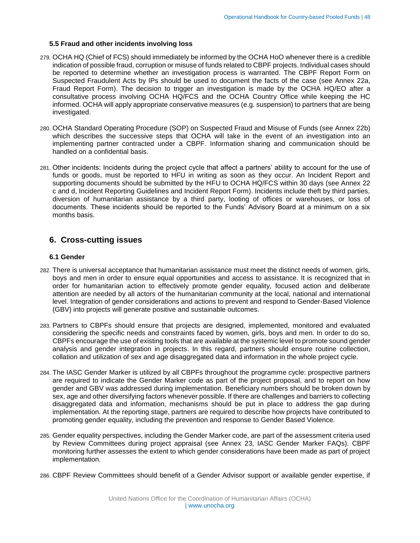#### <span id="page-47-0"></span>**5.5 Fraud and other incidents involving loss**

- 279. OCHA HQ (Chief of FCS) should immediately be informed by the OCHA HoO whenever there is a credible indication of possible fraud, corruption or misuse of funds related to CBPF projects. Individual cases should be reported to determine whether an investigation process is warranted. The CBPF Report Form on Suspected Fraudulent Acts by IPs should be used to document the facts of the case (see Annex 22a, Fraud Report Form). The decision to trigger an investigation is made by the OCHA HQ/EO after a consultative process involving OCHA HQ/FCS and the OCHA Country Office while keeping the HC informed. OCHA will apply appropriate conservative measures (e.g. suspension) to partners that are being investigated.
- 280. OCHA Standard Operating Procedure (SOP) on Suspected Fraud and Misuse of Funds (see Annex 22b) which describes the successive steps that OCHA will take in the event of an investigation into an implementing partner contracted under a CBPF. Information sharing and communication should be handled on a confidential basis.
- 281. Other incidents: Incidents during the project cycle that affect a partners' ability to account for the use of funds or goods, must be reported to HFU in writing as soon as they occur. An Incident Report and supporting documents should be submitted by the HFU to OCHA HQ/FCS within 30 days (see Annex 22 c and d, Incident Reporting Guidelines and Incident Report Form). Incidents include theft by third parties, diversion of humanitarian assistance by a third party, looting of offices or warehouses, or loss of documents. These incidents should be reported to the Funds' Advisory Board at a minimum on a six months basis.

# <span id="page-47-1"></span>**6. Cross-cutting issues**

#### <span id="page-47-2"></span>**6.1 Gender**

- 282. There is universal acceptance that humanitarian assistance must meet the distinct needs of women, girls, boys and men in order to ensure equal opportunities and access to assistance. It is recognized that in order for humanitarian action to effectively promote gender equality, focused action and deliberate attention are needed by all actors of the humanitarian community at the local, national and international level. Integration of gender considerations and actions to prevent and respond to Gender-Based Violence (GBV) into projects will generate positive and sustainable outcomes.
- 283. Partners to CBPFs should ensure that projects are designed, implemented, monitored and evaluated considering the specific needs and constraints faced by women, girls, boys and men. In order to do so, CBPFs encourage the use of existing tools that are available at the systemic level to promote sound gender analysis and gender integration in projects. In this regard, partners should ensure routine collection, collation and utilization of sex and age disaggregated data and information in the whole project cycle.
- 284. The IASC Gender Marker is utilized by all CBPFs throughout the programme cycle: prospective partners are required to indicate the Gender Marker code as part of the project proposal, and to report on how gender and GBV was addressed during implementation. Beneficiary numbers should be broken down by sex, age and other diversifying factors whenever possible. If there are challenges and barriers to collecting disaggregated data and information, mechanisms should be put in place to address the gap during implementation. At the reporting stage, partners are required to describe how projects have contributed to promoting gender equality, including the prevention and response to Gender Based Violence.
- 285. Gender equality perspectives, including the Gender Marker code, are part of the assessment criteria used by Review Committees during project appraisal (see Annex 23, IASC Gender Marker FAQs). CBPF monitoring further assesses the extent to which gender considerations have been made as part of project implementation.
- 286. CBPF Review Committees should benefit of a Gender Advisor support or available gender expertise, if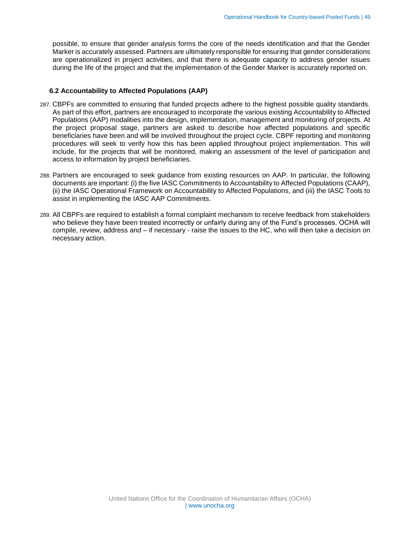possible, to ensure that gender analysis forms the core of the needs identification and that the Gender Marker is accurately assessed. Partners are ultimately responsible for ensuring that gender considerations are operationalized in project activities, and that there is adequate capacity to address gender issues during the life of the project and that the implementation of the Gender Marker is accurately reported on.

#### <span id="page-48-0"></span>**6.2 Accountability to Affected Populations (AAP)**

- 287. CBPFs are committed to ensuring that funded projects adhere to the highest possible quality standards. As part of this effort, partners are encouraged to incorporate the various existing Accountability to Affected Populations (AAP) modalities into the design, implementation, management and monitoring of projects. At the project proposal stage, partners are asked to describe how affected populations and specific beneficiaries have been and will be involved throughout the project cycle. CBPF reporting and monitoring procedures will seek to verify how this has been applied throughout project implementation. This will include, for the projects that will be monitored, making an assessment of the level of participation and access to information by project beneficiaries.
- 288. Partners are encouraged to seek guidance from existing resources on AAP. In particular, the following documents are important: (i) the five IASC Commitments to Accountability to Affected Populations (CAAP), (ii) the IASC Operational Framework on Accountability to Affected Populations, and (iii) the IASC Tools to assist in implementing the IASC AAP Commitments.
- 289. All CBPFs are required to establish a formal complaint mechanism to receive feedback from stakeholders who believe they have been treated incorrectly or unfairly during any of the Fund's processes. OCHA will compile, review, address and – if necessary - raise the issues to the HC, who will then take a decision on necessary action.